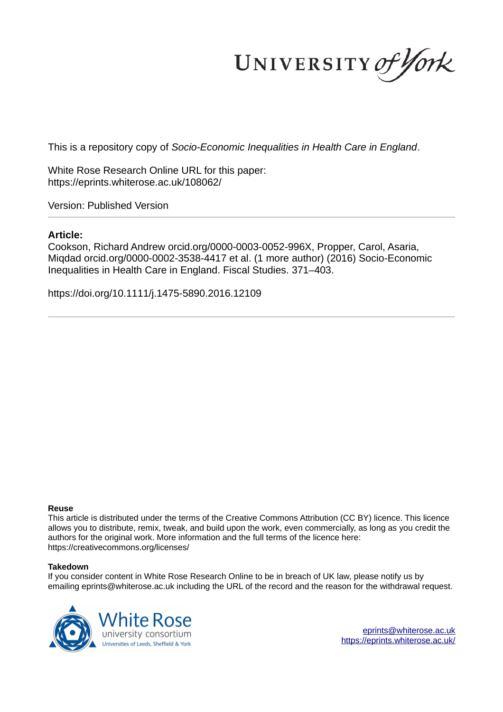UNIVERSITY of York

This is a repository copy of *Socio-Economic Inequalities in Health Care in England*.

White Rose Research Online URL for this paper: https://eprints.whiterose.ac.uk/108062/

Version: Published Version

# **Article:**

Cookson, Richard Andrew orcid.org/0000-0003-0052-996X, Propper, Carol, Asaria, Miqdad orcid.org/0000-0002-3538-4417 et al. (1 more author) (2016) Socio-Economic Inequalities in Health Care in England. Fiscal Studies. 371–403.

https://doi.org/10.1111/j.1475-5890.2016.12109

## **Reuse**

This article is distributed under the terms of the Creative Commons Attribution (CC BY) licence. This licence allows you to distribute, remix, tweak, and build upon the work, even commercially, as long as you credit the authors for the original work. More information and the full terms of the licence here: https://creativecommons.org/licenses/

# **Takedown**

If you consider content in White Rose Research Online to be in breach of UK law, please notify us by emailing eprints@whiterose.ac.uk including the URL of the record and the reason for the withdrawal request.



eprints@whiterose.ac.uk https://eprints.whiterose.ac.uk/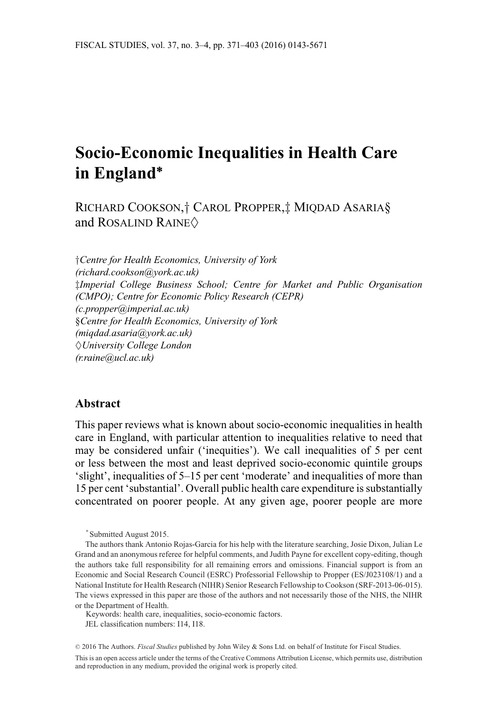# **Socio-Economic Inequalities in Health Care in England**<sup>∗</sup>

RICHARD COOKSON,† CAROL PROPPER,‡ MIQDAD ASARIA§ and ROSALIND RAINE $\diamond$ 

†*Centre for Health Economics, University of York (richard.cookson@york.ac.uk)* ‡*Imperial College Business School; Centre for Market and Public Organisation (CMPO); Centre for Economic Policy Research (CEPR) (c.propper@imperial.ac.uk)* §*Centre for Health Economics, University of York (miqdad.asaria@york.ac.uk)* ♦*University College London (r.raine@ucl.ac.uk)*

## **Abstract**

This paper reviews what is known about socio-economic inequalities in health care in England, with particular attention to inequalities relative to need that may be considered unfair ('inequities'). We call inequalities of 5 per cent or less between the most and least deprived socio-economic quintile groups 'slight', inequalities of 5–15 per cent 'moderate' and inequalities of more than 15 per cent 'substantial'. Overall public health care expenditure is substantially concentrated on poorer people. At any given age, poorer people are more

Keywords: health care, inequalities, socio-economic factors.

JEL classification numbers: I14, I18.

<sup>C</sup> 2016 The Authors. *Fiscal Studies* published by John Wiley & Sons Ltd. on behalf of Institute for Fiscal Studies.

This is an open access article under the terms of the Creative Commons Attribution License, which permits use, distribution and reproduction in any medium, provided the original work is properly cited.

<sup>∗</sup> Submitted August 2015.

The authors thank Antonio Rojas-Garcia for his help with the literature searching, Josie Dixon, Julian Le Grand and an anonymous referee for helpful comments, and Judith Payne for excellent copy-editing, though the authors take full responsibility for all remaining errors and omissions. Financial support is from an Economic and Social Research Council (ESRC) Professorial Fellowship to Propper (ES/J023108/1) and a National Institute for Health Research (NIHR) Senior Research Fellowship to Cookson (SRF-2013-06-015). The views expressed in this paper are those of the authors and not necessarily those of the NHS, the NIHR or the Department of Health.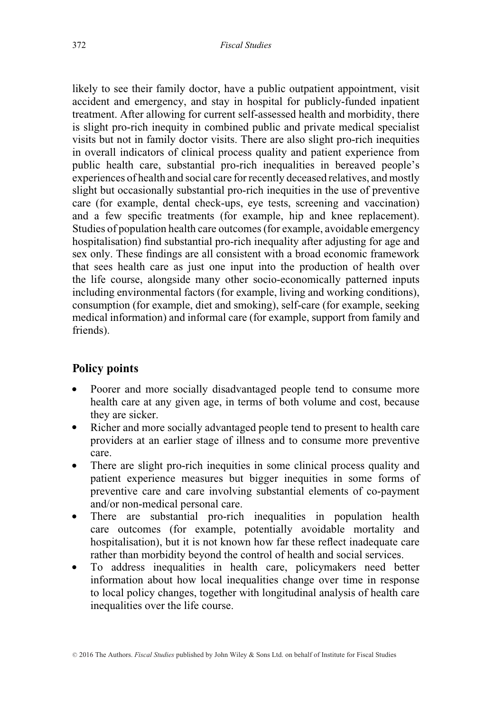likely to see their family doctor, have a public outpatient appointment, visit accident and emergency, and stay in hospital for publicly-funded inpatient treatment. After allowing for current self-assessed health and morbidity, there is slight pro-rich inequity in combined public and private medical specialist visits but not in family doctor visits. There are also slight pro-rich inequities in overall indicators of clinical process quality and patient experience from public health care, substantial pro-rich inequalities in bereaved people's experiences of health and social care for recently deceased relatives, and mostly slight but occasionally substantial pro-rich inequities in the use of preventive care (for example, dental check-ups, eye tests, screening and vaccination) and a few specific treatments (for example, hip and knee replacement). Studies of population health care outcomes (for example, avoidable emergency hospitalisation) find substantial pro-rich inequality after adjusting for age and sex only. These findings are all consistent with a broad economic framework that sees health care as just one input into the production of health over the life course, alongside many other socio-economically patterned inputs including environmental factors (for example, living and working conditions), consumption (for example, diet and smoking), self-care (for example, seeking medical information) and informal care (for example, support from family and friends).

# **Policy points**

- - Poorer and more socially disadvantaged people tend to consume more health care at any given age, in terms of both volume and cost, because they are sicker.
- $\bullet$  Richer and more socially advantaged people tend to present to health care providers at an earlier stage of illness and to consume more preventive care.
- $\bullet$  There are slight pro-rich inequities in some clinical process quality and patient experience measures but bigger inequities in some forms of preventive care and care involving substantial elements of co-payment and/or non-medical personal care.
- $\bullet$  There are substantial pro-rich inequalities in population health care outcomes (for example, potentially avoidable mortality and hospitalisation), but it is not known how far these reflect inadequate care rather than morbidity beyond the control of health and social services.
- - To address inequalities in health care, policymakers need better information about how local inequalities change over time in response to local policy changes, together with longitudinal analysis of health care inequalities over the life course.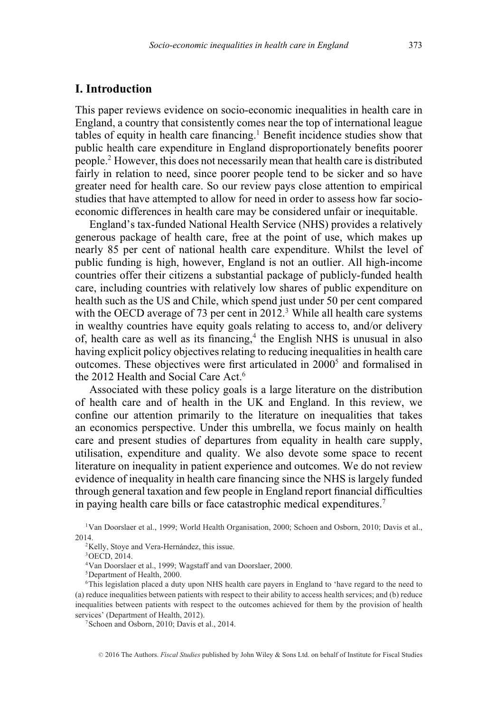#### **I. Introduction**

This paper reviews evidence on socio-economic inequalities in health care in England, a country that consistently comes near the top of international league tables of equity in health care financing.<sup>1</sup> Benefit incidence studies show that public health care expenditure in England disproportionately benefits poorer people.<sup>2</sup> However, this does not necessarily mean that health care is distributed fairly in relation to need, since poorer people tend to be sicker and so have greater need for health care. So our review pays close attention to empirical studies that have attempted to allow for need in order to assess how far socioeconomic differences in health care may be considered unfair or inequitable.

England's tax-funded National Health Service (NHS) provides a relatively generous package of health care, free at the point of use, which makes up nearly 85 per cent of national health care expenditure. Whilst the level of public funding is high, however, England is not an outlier. All high-income countries offer their citizens a substantial package of publicly-funded health care, including countries with relatively low shares of public expenditure on health such as the US and Chile, which spend just under 50 per cent compared with the OECD average of 73 per cent in 2012.<sup>3</sup> While all health care systems in wealthy countries have equity goals relating to access to, and/or delivery of, health care as well as its financing, $4$  the English NHS is unusual in also having explicit policy objectives relating to reducing inequalities in health care outcomes. These objectives were first articulated in  $2000<sup>5</sup>$  and formalised in the 2012 Health and Social Care Act.<sup>6</sup>

Associated with these policy goals is a large literature on the distribution of health care and of health in the UK and England. In this review, we confine our attention primarily to the literature on inequalities that takes an economics perspective. Under this umbrella, we focus mainly on health care and present studies of departures from equality in health care supply, utilisation, expenditure and quality. We also devote some space to recent literature on inequality in patient experience and outcomes. We do not review evidence of inequality in health care financing since the NHS is largely funded through general taxation and few people in England report financial difficulties in paying health care bills or face catastrophic medical expenditures.<sup>7</sup>

<sup>1</sup>Van Doorslaer et al., 1999; World Health Organisation, 2000; Schoen and Osborn, 2010; Davis et al., 2014.

 ${}^{2}$ Kelly, Stoye and Vera-Hernández, this issue.

<sup>3</sup>OECD, 2014.

<sup>4</sup>Van Doorslaer et al., 1999; Wagstaff and van Doorslaer, 2000.

<sup>5</sup>Department of Health, 2000.

<sup>6</sup>This legislation placed a duty upon NHS health care payers in England to 'have regard to the need to (a) reduce inequalities between patients with respect to their ability to access health services; and (b) reduce inequalities between patients with respect to the outcomes achieved for them by the provision of health services' (Department of Health, 2012).

<sup>7</sup>Schoen and Osborn, 2010; Davis et al., 2014.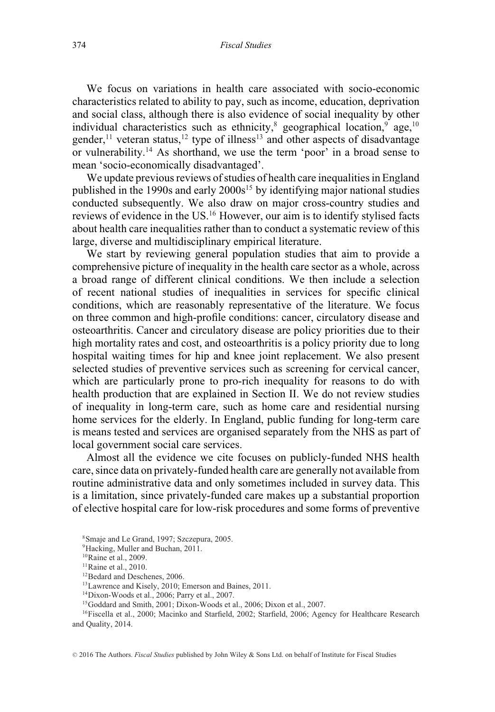We focus on variations in health care associated with socio-economic characteristics related to ability to pay, such as income, education, deprivation and social class, although there is also evidence of social inequality by other individual characteristics such as ethnicity, <sup>8</sup> geographical location,  $9$  age,  $10$ gender,<sup>11</sup> veteran status,<sup>12</sup> type of illness<sup>13</sup> and other aspects of disadvantage or vulnerability.<sup>14</sup> As shorthand, we use the term 'poor' in a broad sense to mean 'socio-economically disadvantaged'.

We update previous reviews of studies of health care inequalities in England published in the 1990s and early  $2000s^{15}$  by identifying major national studies conducted subsequently. We also draw on major cross-country studies and reviews of evidence in the US.<sup>16</sup> However, our aim is to identify stylised facts about health care inequalities rather than to conduct a systematic review of this large, diverse and multidisciplinary empirical literature.

We start by reviewing general population studies that aim to provide a comprehensive picture of inequality in the health care sector as a whole, across a broad range of different clinical conditions. We then include a selection of recent national studies of inequalities in services for specific clinical conditions, which are reasonably representative of the literature. We focus on three common and high-profile conditions: cancer, circulatory disease and osteoarthritis. Cancer and circulatory disease are policy priorities due to their high mortality rates and cost, and osteoarthritis is a policy priority due to long hospital waiting times for hip and knee joint replacement. We also present selected studies of preventive services such as screening for cervical cancer, which are particularly prone to pro-rich inequality for reasons to do with health production that are explained in Section II. We do not review studies of inequality in long-term care, such as home care and residential nursing home services for the elderly. In England, public funding for long-term care is means tested and services are organised separately from the NHS as part of local government social care services.

Almost all the evidence we cite focuses on publicly-funded NHS health care, since data on privately-funded health care are generally not available from routine administrative data and only sometimes included in survey data. This is a limitation, since privately-funded care makes up a substantial proportion of elective hospital care for low-risk procedures and some forms of preventive

<sup>16</sup>Fiscella et al., 2000; Macinko and Starfield, 2002; Starfield, 2006; Agency for Healthcare Research and Quality, 2014.

<sup>8</sup>Smaje and Le Grand, 1997; Szczepura, 2005.

<sup>&</sup>lt;sup>9</sup>Hacking, Muller and Buchan, 2011.

<sup>10</sup>Raine et al., 2009.

<sup>&</sup>lt;sup>11</sup>Raine et al., 2010.

<sup>&</sup>lt;sup>12</sup>Bedard and Deschenes, 2006.

<sup>13</sup>Lawrence and Kisely, 2010; Emerson and Baines, 2011.

<sup>14</sup>Dixon-Woods et al., 2006; Parry et al., 2007.

<sup>&</sup>lt;sup>15</sup>Goddard and Smith, 2001; Dixon-Woods et al., 2006; Dixon et al., 2007.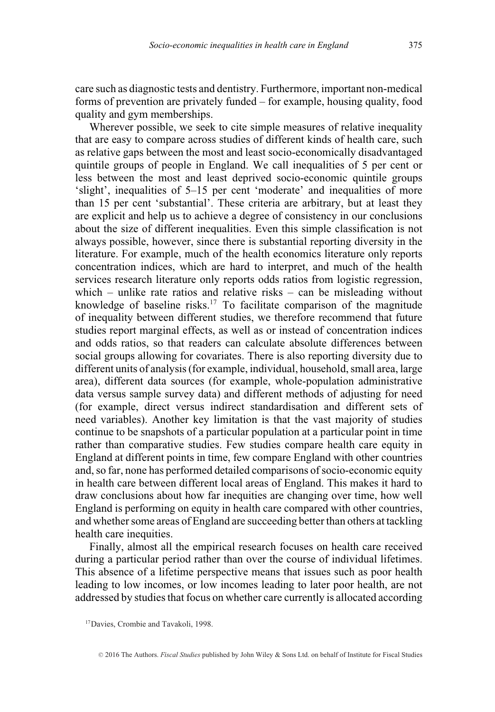care such as diagnostic tests and dentistry. Furthermore, important non-medical forms of prevention are privately funded – for example, housing quality, food quality and gym memberships.

Wherever possible, we seek to cite simple measures of relative inequality that are easy to compare across studies of different kinds of health care, such as relative gaps between the most and least socio-economically disadvantaged quintile groups of people in England. We call inequalities of 5 per cent or less between the most and least deprived socio-economic quintile groups 'slight', inequalities of 5–15 per cent 'moderate' and inequalities of more than 15 per cent 'substantial'. These criteria are arbitrary, but at least they are explicit and help us to achieve a degree of consistency in our conclusions about the size of different inequalities. Even this simple classification is not always possible, however, since there is substantial reporting diversity in the literature. For example, much of the health economics literature only reports concentration indices, which are hard to interpret, and much of the health services research literature only reports odds ratios from logistic regression, which – unlike rate ratios and relative risks – can be misleading without knowledge of baseline risks.<sup>17</sup> To facilitate comparison of the magnitude of inequality between different studies, we therefore recommend that future studies report marginal effects, as well as or instead of concentration indices and odds ratios, so that readers can calculate absolute differences between social groups allowing for covariates. There is also reporting diversity due to different units of analysis (for example, individual, household, small area, large area), different data sources (for example, whole-population administrative data versus sample survey data) and different methods of adjusting for need (for example, direct versus indirect standardisation and different sets of need variables). Another key limitation is that the vast majority of studies continue to be snapshots of a particular population at a particular point in time rather than comparative studies. Few studies compare health care equity in England at different points in time, few compare England with other countries and, so far, none has performed detailed comparisons of socio-economic equity in health care between different local areas of England. This makes it hard to draw conclusions about how far inequities are changing over time, how well England is performing on equity in health care compared with other countries, and whether some areas of England are succeeding better than others at tackling health care inequities.

Finally, almost all the empirical research focuses on health care received during a particular period rather than over the course of individual lifetimes. This absence of a lifetime perspective means that issues such as poor health leading to low incomes, or low incomes leading to later poor health, are not addressed by studies that focus on whether care currently is allocated according

<sup>17</sup>Davies, Crombie and Tavakoli, 1998.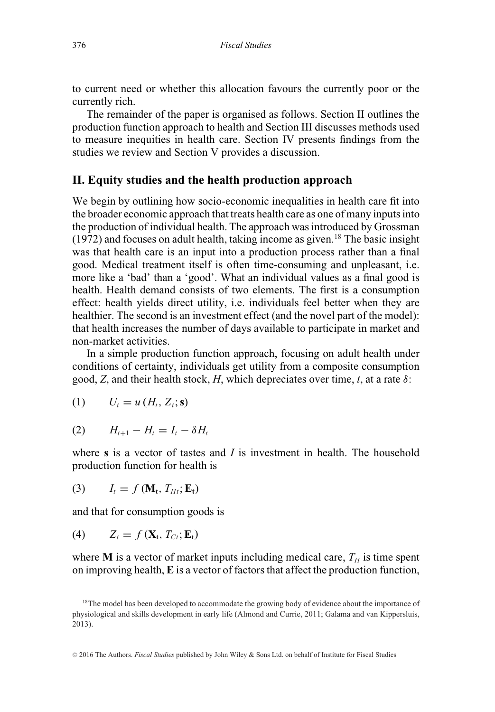to current need or whether this allocation favours the currently poor or the currently rich.

The remainder of the paper is organised as follows. Section II outlines the production function approach to health and Section III discusses methods used to measure inequities in health care. Section IV presents findings from the studies we review and Section V provides a discussion.

#### **II. Equity studies and the health production approach**

We begin by outlining how socio-economic inequalities in health care fit into the broader economic approach that treats health care as one of many inputs into the production of individual health. The approach was introduced by Grossman  $(1972)$  and focuses on adult health, taking income as given.<sup>18</sup> The basic insight was that health care is an input into a production process rather than a final good. Medical treatment itself is often time-consuming and unpleasant, i.e. more like a 'bad' than a 'good'. What an individual values as a final good is health. Health demand consists of two elements. The first is a consumption effect: health yields direct utility, i.e. individuals feel better when they are healthier. The second is an investment effect (and the novel part of the model): that health increases the number of days available to participate in market and non-market activities.

In a simple production function approach, focusing on adult health under conditions of certainty, individuals get utility from a composite consumption good, *Z*, and their health stock, *H*, which depreciates over time, *t*, at a rate  $\delta$ :

 $U_t = u(H_t, Z_t; \mathbf{s})$ 

$$
(2) \qquad H_{t+1}-H_t=I_t-\delta H_t
$$

where **s** is a vector of tastes and *I* is investment in health. The household production function for health is

$$
(3) \qquad I_t = f(\mathbf{M}_t, T_{Ht}; \mathbf{E}_t)
$$

and that for consumption goods is

$$
(4) \qquad Z_t = f\left(\mathbf{X}_t, T_{C_t}; \mathbf{E}_t\right)
$$

where **M** is a vector of market inputs including medical care,  $T_H$  is time spent on improving health, **E** is a vector of factors that affect the production function,

<sup>&</sup>lt;sup>18</sup>The model has been developed to accommodate the growing body of evidence about the importance of physiological and skills development in early life (Almond and Currie, 2011; Galama and van Kippersluis, 2013).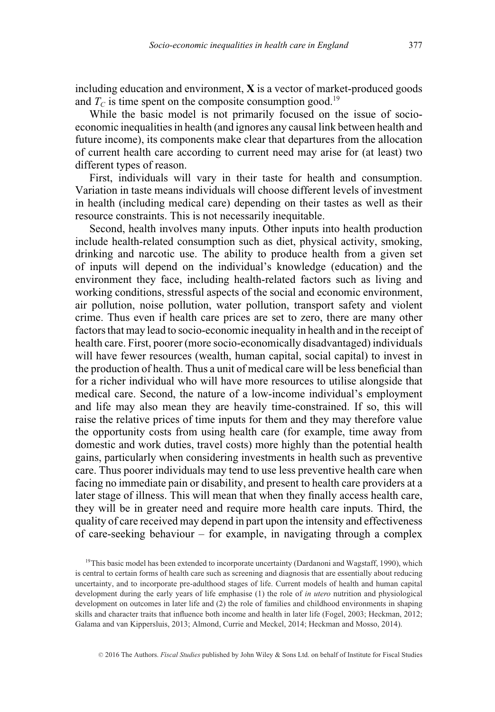including education and environment, **X** is a vector of market-produced goods and  $T_c$  is time spent on the composite consumption good.<sup>19</sup>

While the basic model is not primarily focused on the issue of socioeconomic inequalities in health (and ignores any causal link between health and future income), its components make clear that departures from the allocation of current health care according to current need may arise for (at least) two different types of reason.

First, individuals will vary in their taste for health and consumption. Variation in taste means individuals will choose different levels of investment in health (including medical care) depending on their tastes as well as their resource constraints. This is not necessarily inequitable.

Second, health involves many inputs. Other inputs into health production include health-related consumption such as diet, physical activity, smoking, drinking and narcotic use. The ability to produce health from a given set of inputs will depend on the individual's knowledge (education) and the environment they face, including health-related factors such as living and working conditions, stressful aspects of the social and economic environment, air pollution, noise pollution, water pollution, transport safety and violent crime. Thus even if health care prices are set to zero, there are many other factors that may lead to socio-economic inequality in health and in the receipt of health care. First, poorer (more socio-economically disadvantaged) individuals will have fewer resources (wealth, human capital, social capital) to invest in the production of health. Thus a unit of medical care will be less beneficial than for a richer individual who will have more resources to utilise alongside that medical care. Second, the nature of a low-income individual's employment and life may also mean they are heavily time-constrained. If so, this will raise the relative prices of time inputs for them and they may therefore value the opportunity costs from using health care (for example, time away from domestic and work duties, travel costs) more highly than the potential health gains, particularly when considering investments in health such as preventive care. Thus poorer individuals may tend to use less preventive health care when facing no immediate pain or disability, and present to health care providers at a later stage of illness. This will mean that when they finally access health care, they will be in greater need and require more health care inputs. Third, the quality of care received may depend in part upon the intensity and effectiveness of care-seeking behaviour – for example, in navigating through a complex

<sup>19</sup>This basic model has been extended to incorporate uncertainty (Dardanoni and Wagstaff, 1990), which is central to certain forms of health care such as screening and diagnosis that are essentially about reducing uncertainty, and to incorporate pre-adulthood stages of life. Current models of health and human capital development during the early years of life emphasise (1) the role of *in utero* nutrition and physiological development on outcomes in later life and (2) the role of families and childhood environments in shaping skills and character traits that influence both income and health in later life (Fogel, 2003; Heckman, 2012; Galama and van Kippersluis, 2013; Almond, Currie and Meckel, 2014; Heckman and Mosso, 2014).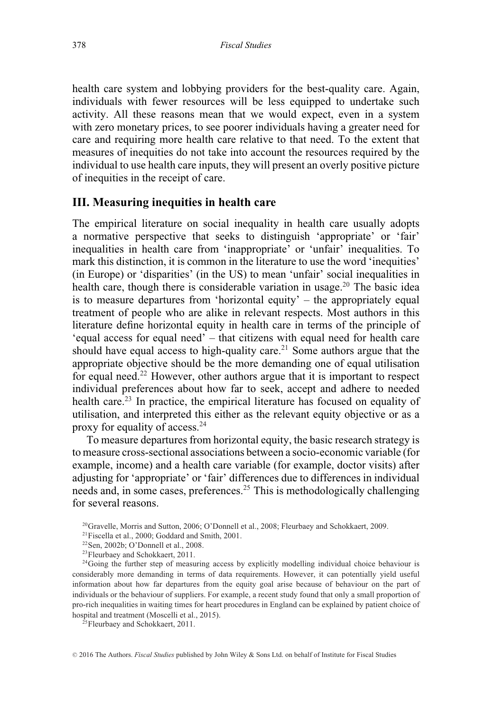health care system and lobbying providers for the best-quality care. Again, individuals with fewer resources will be less equipped to undertake such activity. All these reasons mean that we would expect, even in a system with zero monetary prices, to see poorer individuals having a greater need for care and requiring more health care relative to that need. To the extent that measures of inequities do not take into account the resources required by the individual to use health care inputs, they will present an overly positive picture of inequities in the receipt of care.

## **III. Measuring inequities in health care**

The empirical literature on social inequality in health care usually adopts a normative perspective that seeks to distinguish 'appropriate' or 'fair' inequalities in health care from 'inappropriate' or 'unfair' inequalities. To mark this distinction, it is common in the literature to use the word 'inequities' (in Europe) or 'disparities' (in the US) to mean 'unfair' social inequalities in health care, though there is considerable variation in usage.<sup>20</sup> The basic idea is to measure departures from 'horizontal equity' – the appropriately equal treatment of people who are alike in relevant respects. Most authors in this literature define horizontal equity in health care in terms of the principle of 'equal access for equal need' – that citizens with equal need for health care should have equal access to high-quality care.<sup>21</sup> Some authors argue that the appropriate objective should be the more demanding one of equal utilisation for equal need.<sup>22</sup> However, other authors argue that it is important to respect individual preferences about how far to seek, accept and adhere to needed health care.<sup>23</sup> In practice, the empirical literature has focused on equality of utilisation, and interpreted this either as the relevant equity objective or as a proxy for equality of access.<sup>24</sup>

To measure departures from horizontal equity, the basic research strategy is to measure cross-sectional associations between a socio-economic variable (for example, income) and a health care variable (for example, doctor visits) after adjusting for 'appropriate' or 'fair' differences due to differences in individual needs and, in some cases, preferences.<sup>25</sup> This is methodologically challenging for several reasons.

<sup>20</sup>Gravelle, Morris and Sutton, 2006; O'Donnell et al., 2008; Fleurbaey and Schokkaert, 2009.

<sup>&</sup>lt;sup>21</sup>Fiscella et al., 2000; Goddard and Smith, 2001.

<sup>22</sup>Sen, 2002b; O'Donnell et al., 2008.

<sup>&</sup>lt;sup>23</sup>Fleurbaey and Schokkaert, 2011.

<sup>&</sup>lt;sup>24</sup>Going the further step of measuring access by explicitly modelling individual choice behaviour is considerably more demanding in terms of data requirements. However, it can potentially yield useful information about how far departures from the equity goal arise because of behaviour on the part of individuals or the behaviour of suppliers. For example, a recent study found that only a small proportion of pro-rich inequalities in waiting times for heart procedures in England can be explained by patient choice of hospital and treatment (Moscelli et al., 2015).

 $^{25}$ Fleurbaey and Schokkaert, 2011.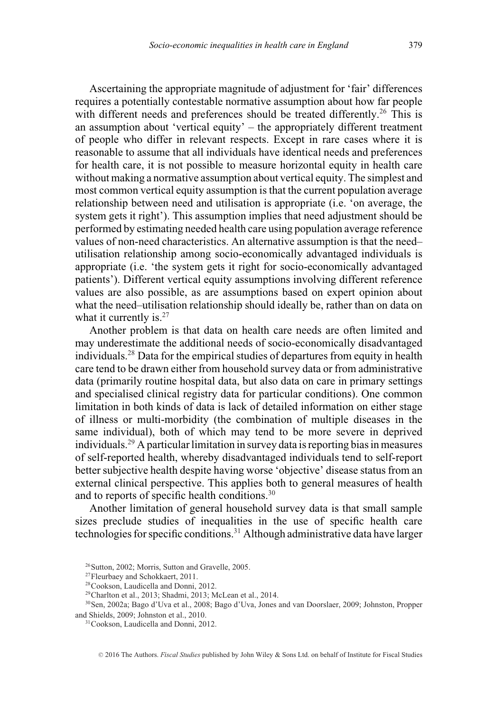Ascertaining the appropriate magnitude of adjustment for 'fair' differences requires a potentially contestable normative assumption about how far people with different needs and preferences should be treated differently.<sup>26</sup> This is an assumption about 'vertical equity' – the appropriately different treatment of people who differ in relevant respects. Except in rare cases where it is reasonable to assume that all individuals have identical needs and preferences for health care, it is not possible to measure horizontal equity in health care without making a normative assumption about vertical equity. The simplest and most common vertical equity assumption is that the current population average relationship between need and utilisation is appropriate (i.e. 'on average, the system gets it right'). This assumption implies that need adjustment should be performed by estimating needed health care using population average reference values of non-need characteristics. An alternative assumption is that the need– utilisation relationship among socio-economically advantaged individuals is appropriate (i.e. 'the system gets it right for socio-economically advantaged patients'). Different vertical equity assumptions involving different reference values are also possible, as are assumptions based on expert opinion about what the need–utilisation relationship should ideally be, rather than on data on what it currently is.<sup>27</sup>

Another problem is that data on health care needs are often limited and may underestimate the additional needs of socio-economically disadvantaged individuals.<sup>28</sup> Data for the empirical studies of departures from equity in health care tend to be drawn either from household survey data or from administrative data (primarily routine hospital data, but also data on care in primary settings and specialised clinical registry data for particular conditions). One common limitation in both kinds of data is lack of detailed information on either stage of illness or multi-morbidity (the combination of multiple diseases in the same individual), both of which may tend to be more severe in deprived individuals.<sup>29</sup> A particular limitation in survey data is reporting bias in measures of self-reported health, whereby disadvantaged individuals tend to self-report better subjective health despite having worse 'objective' disease status from an external clinical perspective. This applies both to general measures of health and to reports of specific health conditions.<sup>30</sup>

Another limitation of general household survey data is that small sample sizes preclude studies of inequalities in the use of specific health care technologies for specific conditions.<sup>31</sup> Although administrative data have larger

<sup>26</sup>Sutton, 2002; Morris, Sutton and Gravelle, 2005.

<sup>27</sup>Fleurbaey and Schokkaert, 2011.

<sup>28</sup>Cookson, Laudicella and Donni, 2012.

<sup>29</sup>Charlton et al., 2013; Shadmi, 2013; McLean et al., 2014.

<sup>30</sup>Sen, 2002a; Bago d'Uva et al., 2008; Bago d'Uva, Jones and van Doorslaer, 2009; Johnston, Propper and Shields, 2009; Johnston et al., 2010.

<sup>&</sup>lt;sup>31</sup>Cookson, Laudicella and Donni, 2012.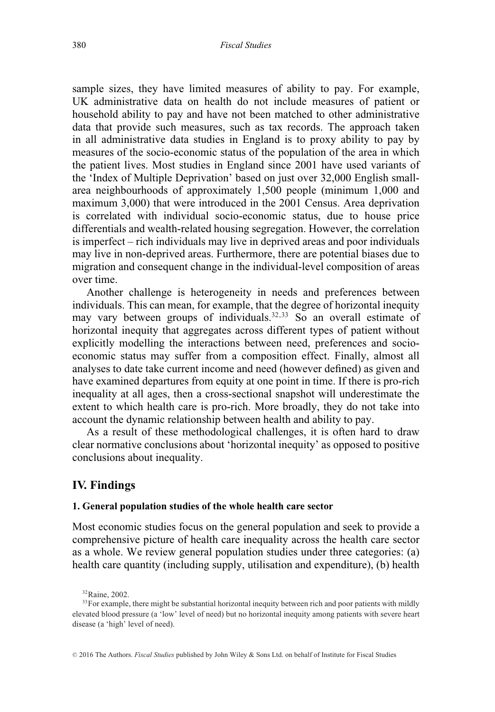sample sizes, they have limited measures of ability to pay. For example, UK administrative data on health do not include measures of patient or household ability to pay and have not been matched to other administrative data that provide such measures, such as tax records. The approach taken in all administrative data studies in England is to proxy ability to pay by measures of the socio-economic status of the population of the area in which the patient lives. Most studies in England since 2001 have used variants of the 'Index of Multiple Deprivation' based on just over 32,000 English smallarea neighbourhoods of approximately 1,500 people (minimum 1,000 and maximum 3,000) that were introduced in the 2001 Census. Area deprivation is correlated with individual socio-economic status, due to house price differentials and wealth-related housing segregation. However, the correlation is imperfect – rich individuals may live in deprived areas and poor individuals may live in non-deprived areas. Furthermore, there are potential biases due to migration and consequent change in the individual-level composition of areas over time.

Another challenge is heterogeneity in needs and preferences between individuals. This can mean, for example, that the degree of horizontal inequity may vary between groups of individuals.<sup>32,33</sup> So an overall estimate of horizontal inequity that aggregates across different types of patient without explicitly modelling the interactions between need, preferences and socioeconomic status may suffer from a composition effect. Finally, almost all analyses to date take current income and need (however defined) as given and have examined departures from equity at one point in time. If there is pro-rich inequality at all ages, then a cross-sectional snapshot will underestimate the extent to which health care is pro-rich. More broadly, they do not take into account the dynamic relationship between health and ability to pay.

As a result of these methodological challenges, it is often hard to draw clear normative conclusions about 'horizontal inequity' as opposed to positive conclusions about inequality.

## **IV. Findings**

#### **1. General population studies of the whole health care sector**

Most economic studies focus on the general population and seek to provide a comprehensive picture of health care inequality across the health care sector as a whole. We review general population studies under three categories: (a) health care quantity (including supply, utilisation and expenditure), (b) health

<sup>32</sup>Raine, 2002.

<sup>&</sup>lt;sup>33</sup>For example, there might be substantial horizontal inequity between rich and poor patients with mildly elevated blood pressure (a 'low' level of need) but no horizontal inequity among patients with severe heart disease (a 'high' level of need).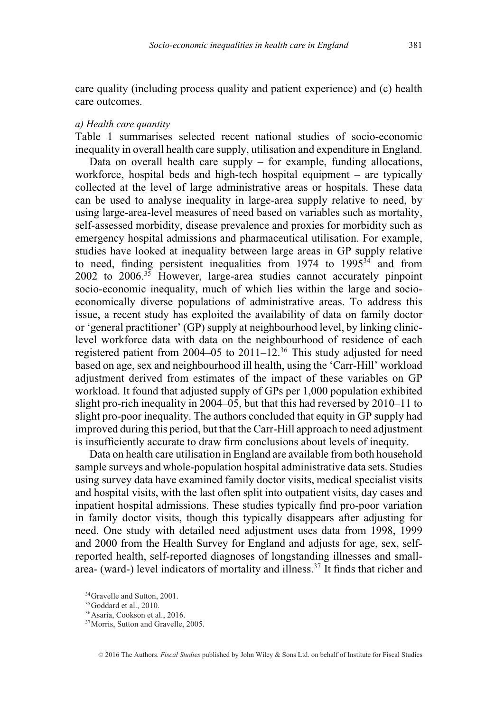care quality (including process quality and patient experience) and (c) health care outcomes.

#### *a) Health care quantity*

Table 1 summarises selected recent national studies of socio-economic inequality in overall health care supply, utilisation and expenditure in England.

Data on overall health care supply  $-$  for example, funding allocations, workforce, hospital beds and high-tech hospital equipment – are typically collected at the level of large administrative areas or hospitals. These data can be used to analyse inequality in large-area supply relative to need, by using large-area-level measures of need based on variables such as mortality, self-assessed morbidity, disease prevalence and proxies for morbidity such as emergency hospital admissions and pharmaceutical utilisation. For example, studies have looked at inequality between large areas in GP supply relative to need, finding persistent inequalities from  $1974$  to  $1995<sup>34</sup>$  and from 2002 to 2006.<sup>35</sup> However, large-area studies cannot accurately pinpoint socio-economic inequality, much of which lies within the large and socioeconomically diverse populations of administrative areas. To address this issue, a recent study has exploited the availability of data on family doctor or 'general practitioner' (GP) supply at neighbourhood level, by linking cliniclevel workforce data with data on the neighbourhood of residence of each registered patient from  $2004-05$  to  $2011-12<sup>36</sup>$  This study adjusted for need based on age, sex and neighbourhood ill health, using the 'Carr-Hill' workload adjustment derived from estimates of the impact of these variables on GP workload. It found that adjusted supply of GPs per 1,000 population exhibited slight pro-rich inequality in 2004–05, but that this had reversed by 2010–11 to slight pro-poor inequality. The authors concluded that equity in GP supply had improved during this period, but that the Carr-Hill approach to need adjustment is insufficiently accurate to draw firm conclusions about levels of inequity.

Data on health care utilisation in England are available from both household sample surveys and whole-population hospital administrative data sets. Studies using survey data have examined family doctor visits, medical specialist visits and hospital visits, with the last often split into outpatient visits, day cases and inpatient hospital admissions. These studies typically find pro-poor variation in family doctor visits, though this typically disappears after adjusting for need. One study with detailed need adjustment uses data from 1998, 1999 and 2000 from the Health Survey for England and adjusts for age, sex, selfreported health, self-reported diagnoses of longstanding illnesses and smallarea- (ward-) level indicators of mortality and illness.<sup>37</sup> It finds that richer and

<sup>&</sup>lt;sup>34</sup>Gravelle and Sutton, 2001.

<sup>&</sup>lt;sup>35</sup>Goddard et al., 2010.

<sup>36</sup>Asaria, Cookson et al., 2016.

<sup>&</sup>lt;sup>37</sup>Morris, Sutton and Gravelle, 2005.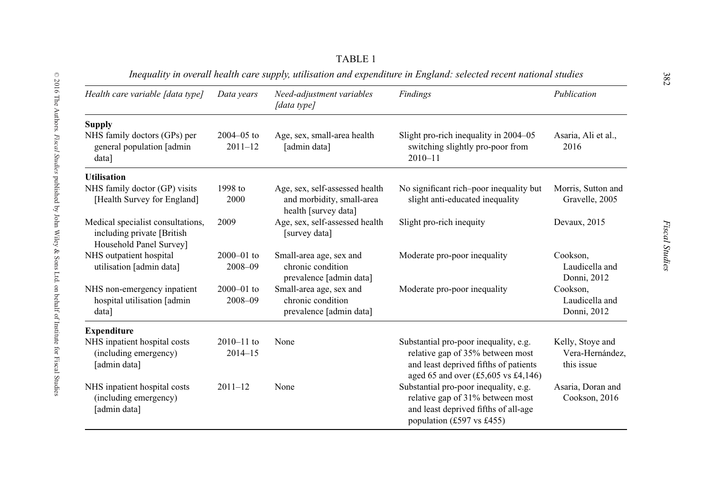|--|--|

Inequality in overall health care supply, utilisation and expenditure in England: selected recent national studies

| Health care variable [data type]                                                           | Data years                    | Need-adjustment variables<br>[data type]                                            | Findings                                                                                                                                                             | Publication                                       |
|--------------------------------------------------------------------------------------------|-------------------------------|-------------------------------------------------------------------------------------|----------------------------------------------------------------------------------------------------------------------------------------------------------------------|---------------------------------------------------|
| <b>Supply</b><br>NHS family doctors (GPs) per<br>general population [admin]                | $2004 - 05$ to<br>$2011 - 12$ | Age, sex, small-area health<br>[admin data]                                         | Slight pro-rich inequality in 2004–05<br>switching slightly pro-poor from                                                                                            | Asaria, Ali et al.,<br>2016                       |
| data]                                                                                      |                               |                                                                                     | $2010 - 11$                                                                                                                                                          |                                                   |
| <b>Utilisation</b>                                                                         |                               |                                                                                     |                                                                                                                                                                      |                                                   |
| NHS family doctor (GP) visits<br>[Health Survey for England]                               | 1998 to<br>2000               | Age, sex, self-assessed health<br>and morbidity, small-area<br>health [survey data] | No significant rich-poor inequality but<br>slight anti-educated inequality                                                                                           | Morris, Sutton and<br>Gravelle, 2005              |
| Medical specialist consultations,<br>including private [British<br>Household Panel Survey] | 2009                          | Age, sex, self-assessed health<br>[survey data]                                     | Slight pro-rich inequity                                                                                                                                             | Devaux, 2015                                      |
| NHS outpatient hospital<br>utilisation [admin data]                                        | $2000 - 01$ to<br>2008-09     | Small-area age, sex and<br>chronic condition<br>prevalence [admin data]             | Moderate pro-poor inequality                                                                                                                                         | Cookson,<br>Laudicella and<br>Donni, 2012         |
| NHS non-emergency inpatient<br>hospital utilisation [admin<br>data]                        | $2000 - 01$ to<br>2008-09     | Small-area age, sex and<br>chronic condition<br>prevalence [admin data]             | Moderate pro-poor inequality                                                                                                                                         | Cookson,<br>Laudicella and<br>Donni, 2012         |
| <b>Expenditure</b>                                                                         |                               |                                                                                     |                                                                                                                                                                      |                                                   |
| NHS inpatient hospital costs<br>(including emergency)<br>[admin data]                      | $2010 - 11$ to<br>$2014 - 15$ | None                                                                                | Substantial pro-poor inequality, e.g.<br>relative gap of 35% between most<br>and least deprived fifths of patients<br>aged 65 and over $(f5,605 \text{ vs } f4,146)$ | Kelly, Stoye and<br>Vera-Hernández,<br>this issue |
| NHS inpatient hospital costs<br>(including emergency)<br>[admin data]                      | $2011 - 12$                   | None                                                                                | Substantial pro-poor inequality, e.g.<br>relative gap of 31% between most<br>and least deprived fifths of all-age<br>population (£597 vs £455)                       | Asaria, Doran and<br>Cookson, 2016                |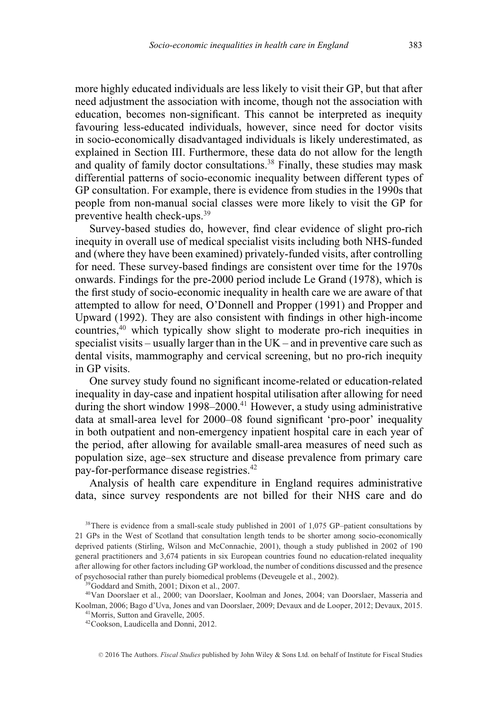more highly educated individuals are less likely to visit their GP, but that after need adjustment the association with income, though not the association with education, becomes non-significant. This cannot be interpreted as inequity favouring less-educated individuals, however, since need for doctor visits in socio-economically disadvantaged individuals is likely underestimated, as explained in Section III. Furthermore, these data do not allow for the length and quality of family doctor consultations.<sup>38</sup> Finally, these studies may mask differential patterns of socio-economic inequality between different types of GP consultation. For example, there is evidence from studies in the 1990s that people from non-manual social classes were more likely to visit the GP for preventive health check-ups.<sup>39</sup>

Survey-based studies do, however, find clear evidence of slight pro-rich inequity in overall use of medical specialist visits including both NHS-funded and (where they have been examined) privately-funded visits, after controlling for need. These survey-based findings are consistent over time for the 1970s onwards. Findings for the pre-2000 period include Le Grand (1978), which is the first study of socio-economic inequality in health care we are aware of that attempted to allow for need, O'Donnell and Propper (1991) and Propper and Upward (1992). They are also consistent with findings in other high-income countries,<sup>40</sup> which typically show slight to moderate pro-rich inequities in specialist visits – usually larger than in the UK – and in preventive care such as dental visits, mammography and cervical screening, but no pro-rich inequity in GP visits.

One survey study found no significant income-related or education-related inequality in day-case and inpatient hospital utilisation after allowing for need during the short window  $1998-2000$ .<sup>41</sup> However, a study using administrative data at small-area level for 2000–08 found significant 'pro-poor' inequality in both outpatient and non-emergency inpatient hospital care in each year of the period, after allowing for available small-area measures of need such as population size, age–sex structure and disease prevalence from primary care pay-for-performance disease registries.<sup>42</sup>

Analysis of health care expenditure in England requires administrative data, since survey respondents are not billed for their NHS care and do

<sup>&</sup>lt;sup>38</sup>There is evidence from a small-scale study published in 2001 of 1,075 GP-patient consultations by 21 GPs in the West of Scotland that consultation length tends to be shorter among socio-economically deprived patients (Stirling, Wilson and McConnachie, 2001), though a study published in 2002 of 190 general practitioners and 3,674 patients in six European countries found no education-related inequality after allowing for other factors including GP workload, the number of conditions discussed and the presence of psychosocial rather than purely biomedical problems (Deveugele et al., 2002).

<sup>&</sup>lt;sup>39</sup>Goddard and Smith, 2001; Dixon et al., 2007.

<sup>40</sup>Van Doorslaer et al., 2000; van Doorslaer, Koolman and Jones, 2004; van Doorslaer, Masseria and Koolman, 2006; Bago d'Uva, Jones and van Doorslaer, 2009; Devaux and de Looper, 2012; Devaux, 2015. <sup>41</sup>Morris, Sutton and Gravelle, 2005.

<sup>42</sup>Cookson, Laudicella and Donni, 2012.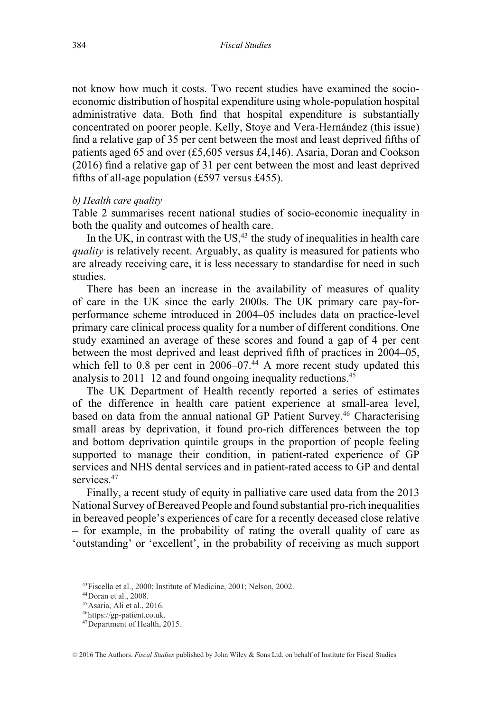not know how much it costs. Two recent studies have examined the socioeconomic distribution of hospital expenditure using whole-population hospital administrative data. Both find that hospital expenditure is substantially concentrated on poorer people. Kelly, Stoye and Vera-Hernández (this issue) find a relative gap of 35 per cent between the most and least deprived fifths of patients aged 65 and over (£5,605 versus £4,146). Asaria, Doran and Cookson (2016) find a relative gap of 31 per cent between the most and least deprived fifths of all-age population  $(f597)$  versus  $f455$ ).

#### *b) Health care quality*

Table 2 summarises recent national studies of socio-economic inequality in both the quality and outcomes of health care.

In the UK, in contrast with the US, $43$  the study of inequalities in health care *quality* is relatively recent. Arguably, as quality is measured for patients who are already receiving care, it is less necessary to standardise for need in such studies.

There has been an increase in the availability of measures of quality of care in the UK since the early 2000s. The UK primary care pay-forperformance scheme introduced in 2004–05 includes data on practice-level primary care clinical process quality for a number of different conditions. One study examined an average of these scores and found a gap of 4 per cent between the most deprived and least deprived fifth of practices in 2004–05, which fell to 0.8 per cent in  $2006-07.^{44}$  A more recent study updated this analysis to  $2011-12$  and found ongoing inequality reductions.<sup>45</sup>

The UK Department of Health recently reported a series of estimates of the difference in health care patient experience at small-area level, based on data from the annual national GP Patient Survey.<sup>46</sup> Characterising small areas by deprivation, it found pro-rich differences between the top and bottom deprivation quintile groups in the proportion of people feeling supported to manage their condition, in patient-rated experience of GP services and NHS dental services and in patient-rated access to GP and dental services.<sup>47</sup>

Finally, a recent study of equity in palliative care used data from the 2013 National Survey of Bereaved People and found substantial pro-rich inequalities in bereaved people's experiences of care for a recently deceased close relative – for example, in the probability of rating the overall quality of care as 'outstanding' or 'excellent', in the probability of receiving as much support

<sup>43</sup>Fiscella et al., 2000; Institute of Medicine, 2001; Nelson, 2002.

<sup>44</sup>Doran et al., 2008.

<sup>45</sup>Asaria, Ali et al., 2016.

<sup>46</sup>https://gp-patient.co.uk.

<sup>47</sup>Department of Health, 2015.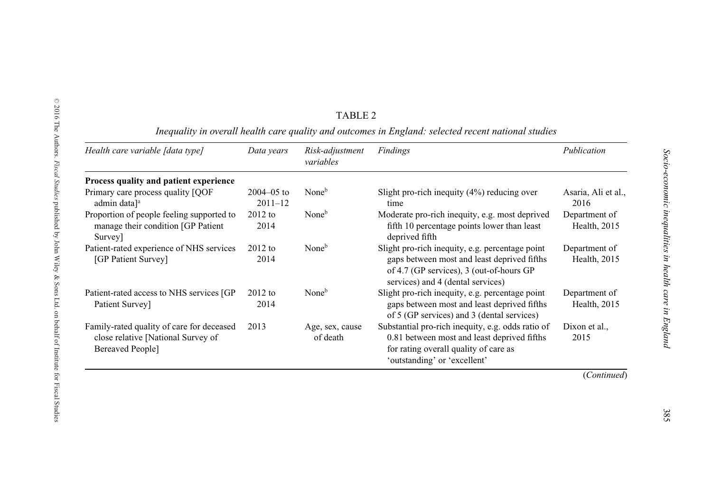| Health care variable [data type]                                                                    | Data vears                    | Risk-adjustment<br>variables | <b>Findings</b>                                                                                                                                                                 | Publication                   |
|-----------------------------------------------------------------------------------------------------|-------------------------------|------------------------------|---------------------------------------------------------------------------------------------------------------------------------------------------------------------------------|-------------------------------|
| Process quality and patient experience                                                              |                               |                              |                                                                                                                                                                                 |                               |
| Primary care process quality [QOF<br>admin data] <sup>a</sup>                                       | $2004 - 05$ to<br>$2011 - 12$ | None <sup>b</sup>            | Slight pro-rich inequity $(4%)$ reducing over<br>time                                                                                                                           | Asaria, Ali et al.,<br>2016   |
| Proportion of people feeling supported to<br>manage their condition [GP Patient<br>Survey]          | $2012$ to<br>2014             | None <sup>b</sup>            | Moderate pro-rich inequity, e.g. most deprived<br>fifth 10 percentage points lower than least<br>deprived fifth                                                                 | Department of<br>Health, 2015 |
| Patient-rated experience of NHS services<br>[GP Patient Survey]                                     | $2012$ to<br>2014             | None <sup>b</sup>            | Slight pro-rich inequity, e.g. percentage point<br>gaps between most and least deprived fifths<br>of 4.7 (GP services), 3 (out-of-hours GP<br>services) and 4 (dental services) | Department of<br>Health, 2015 |
| Patient-rated access to NHS services [GP]<br>Patient Survey]                                        | $2012$ to<br>2014             | Noneb                        | Slight pro-rich inequity, e.g. percentage point<br>gaps between most and least deprived fifths<br>of 5 (GP services) and 3 (dental services)                                    | Department of<br>Health, 2015 |
| Family-rated quality of care for deceased<br>close relative [National Survey of<br>Bereaved People] | 2013                          | Age, sex, cause<br>of death  | Substantial pro-rich inequity, e.g. odds ratio of<br>0.81 between most and least deprived fifths<br>for rating overall quality of care as<br>'outstanding' or 'excellent'       | Dixon et al.,<br>2015         |

| `ABLE |  |
|-------|--|
|       |  |

# Inequality in overall health care quality and outcomes in England: selected recent national studies

(*Continued*)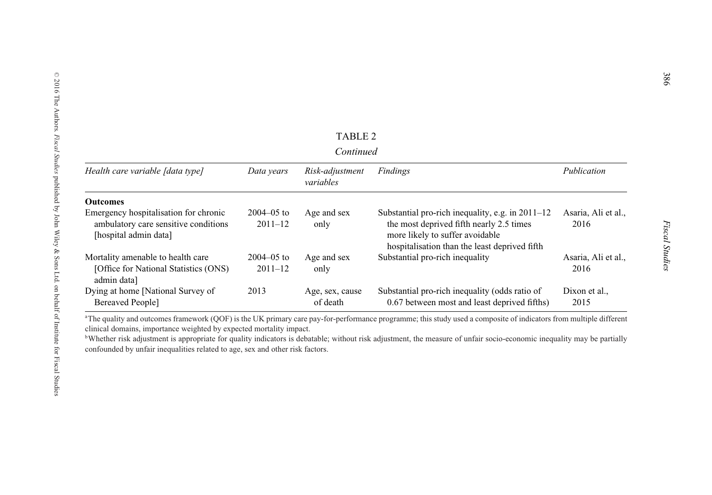| i<br>I<br>×<br>o m |  |
|--------------------|--|
| I<br>×<br>٠        |  |
|                    |  |

|                                                                                                        |                               | TABLE 2<br>Continued         |                                                                                                                                                                                    |                             |                |
|--------------------------------------------------------------------------------------------------------|-------------------------------|------------------------------|------------------------------------------------------------------------------------------------------------------------------------------------------------------------------------|-----------------------------|----------------|
| Health care variable [data type]                                                                       | Data years                    | Risk-adjustment<br>variables | Findings                                                                                                                                                                           | Publication                 |                |
| <b>Outcomes</b>                                                                                        |                               |                              |                                                                                                                                                                                    |                             |                |
| Emergency hospitalisation for chronic<br>ambulatory care sensitive conditions<br>[hospital admin data] | $2004 - 05$ to<br>$2011 - 12$ | Age and sex<br>only          | Substantial pro-rich inequality, e.g. in $2011-12$<br>the most deprived fifth nearly 2.5 times<br>more likely to suffer avoidable<br>hospitalisation than the least deprived fifth | Asaria, Ali et al.,<br>2016 | Fiscal Studies |
| Mortality amenable to health care<br>[Office for National Statistics (ONS)<br>admin data]              | $2004 - 05$ to<br>$2011 - 12$ | Age and sex<br>only          | Substantial pro-rich inequality                                                                                                                                                    | Asaria, Ali et al.,<br>2016 |                |
| Dying at home [National Survey of<br><b>Bereaved People]</b>                                           | 2013                          | Age, sex, cause<br>of death  | Substantial pro-rich inequality (odds ratio of<br>0.67 between most and least deprived fifths)                                                                                     | Dixon et al.,<br>2015       |                |

<sup>a</sup>The quality and outcomes framework (QOF) is the UK primary care pay-for-performance programme; this study used a composite of indicators from multiple different clinical domains, importance weighted by expected mortality impact.

<sup>b</sup>Whether risk adjustment is appropriate for quality indicators is debatable; without risk adjustment, the measure of unfair socio-economic inequality may be partiallyconfounded by unfair inequalities related to age, sex and other risk factors.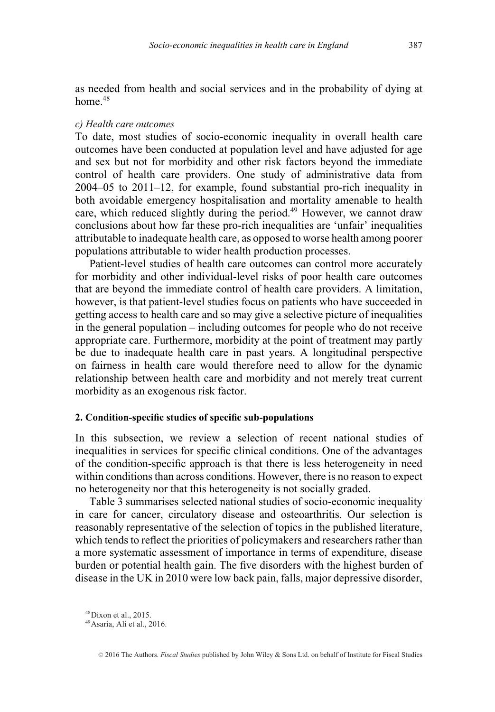as needed from health and social services and in the probability of dying at home  $48$ 

#### *c) Health care outcomes*

To date, most studies of socio-economic inequality in overall health care outcomes have been conducted at population level and have adjusted for age and sex but not for morbidity and other risk factors beyond the immediate control of health care providers. One study of administrative data from 2004–05 to 2011–12, for example, found substantial pro-rich inequality in both avoidable emergency hospitalisation and mortality amenable to health care, which reduced slightly during the period.<sup>49</sup> However, we cannot draw conclusions about how far these pro-rich inequalities are 'unfair' inequalities attributable to inadequate health care, as opposed to worse health among poorer populations attributable to wider health production processes.

Patient-level studies of health care outcomes can control more accurately for morbidity and other individual-level risks of poor health care outcomes that are beyond the immediate control of health care providers. A limitation, however, is that patient-level studies focus on patients who have succeeded in getting access to health care and so may give a selective picture of inequalities in the general population – including outcomes for people who do not receive appropriate care. Furthermore, morbidity at the point of treatment may partly be due to inadequate health care in past years. A longitudinal perspective on fairness in health care would therefore need to allow for the dynamic relationship between health care and morbidity and not merely treat current morbidity as an exogenous risk factor.

#### **2. Condition-specific studies of specific sub-populations**

In this subsection, we review a selection of recent national studies of inequalities in services for specific clinical conditions. One of the advantages of the condition-specific approach is that there is less heterogeneity in need within conditions than across conditions. However, there is no reason to expect no heterogeneity nor that this heterogeneity is not socially graded.

Table 3 summarises selected national studies of socio-economic inequality in care for cancer, circulatory disease and osteoarthritis. Our selection is reasonably representative of the selection of topics in the published literature, which tends to reflect the priorities of policymakers and researchers rather than a more systematic assessment of importance in terms of expenditure, disease burden or potential health gain. The five disorders with the highest burden of disease in the UK in 2010 were low back pain, falls, major depressive disorder,

<sup>48</sup>Dixon et al., 2015.

<sup>49</sup>Asaria, Ali et al., 2016.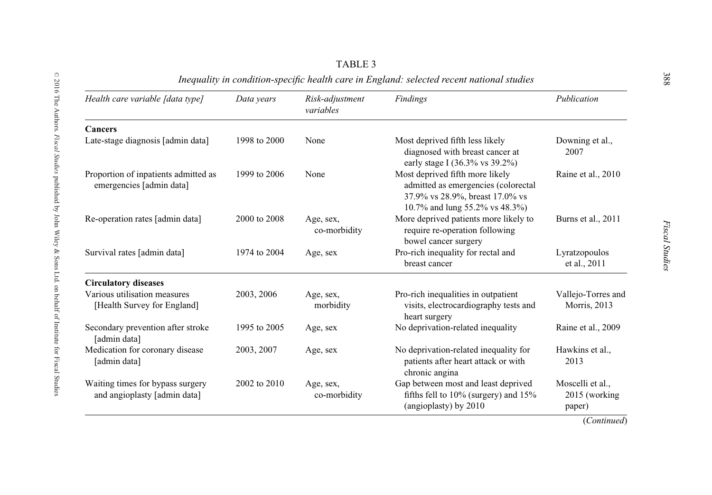| Health care variable [data type]                                 | Data years   | Risk-adjustment<br>variables | Findings                                                                                                                                    | Publication                                  |
|------------------------------------------------------------------|--------------|------------------------------|---------------------------------------------------------------------------------------------------------------------------------------------|----------------------------------------------|
| Cancers                                                          |              |                              |                                                                                                                                             |                                              |
| Late-stage diagnosis [admin data]                                | 1998 to 2000 | None                         | Most deprived fifth less likely<br>diagnosed with breast cancer at<br>early stage I (36.3% vs 39.2%)                                        | Downing et al.,<br>2007                      |
| Proportion of inpatients admitted as<br>emergencies [admin data] | 1999 to 2006 | None                         | Most deprived fifth more likely<br>admitted as emergencies (colorectal<br>37.9% vs 28.9%, breast 17.0% vs<br>10.7% and lung 55.2% vs 48.3%) | Raine et al., 2010                           |
| Re-operation rates [admin data]                                  | 2000 to 2008 | Age, sex,<br>co-morbidity    | More deprived patients more likely to<br>require re-operation following<br>bowel cancer surgery                                             | Burns et al., 2011                           |
| Survival rates [admin data]                                      | 1974 to 2004 | Age, sex                     | Pro-rich inequality for rectal and<br>breast cancer                                                                                         | Lyratzopoulos<br>et al., 2011                |
| <b>Circulatory diseases</b>                                      |              |                              |                                                                                                                                             |                                              |
| Various utilisation measures<br>[Health Survey for England]      | 2003, 2006   | Age, sex,<br>morbidity       | Pro-rich inequalities in outpatient<br>visits, electrocardiography tests and<br>heart surgery                                               | Vallejo-Torres and<br>Morris, 2013           |
| Secondary prevention after stroke<br>[admin data]                | 1995 to 2005 | Age, sex                     | No deprivation-related inequality                                                                                                           | Raine et al., 2009                           |
| Medication for coronary disease<br>[admin data]                  | 2003, 2007   | Age, sex                     | No deprivation-related inequality for<br>patients after heart attack or with<br>chronic angina                                              | Hawkins et al.,<br>2013                      |
| Waiting times for bypass surgery<br>and angioplasty [admin data] | 2002 to 2010 | Age, sex,<br>co-morbidity    | Gap between most and least deprived<br>fifths fell to $10\%$ (surgery) and $15\%$<br>(angioplasty) by 2010                                  | Moscelli et al.,<br>2015 (working)<br>paper) |

# TABLE 3Inequality in condition-specific health care in England: selected recent national studies

(*Continued*)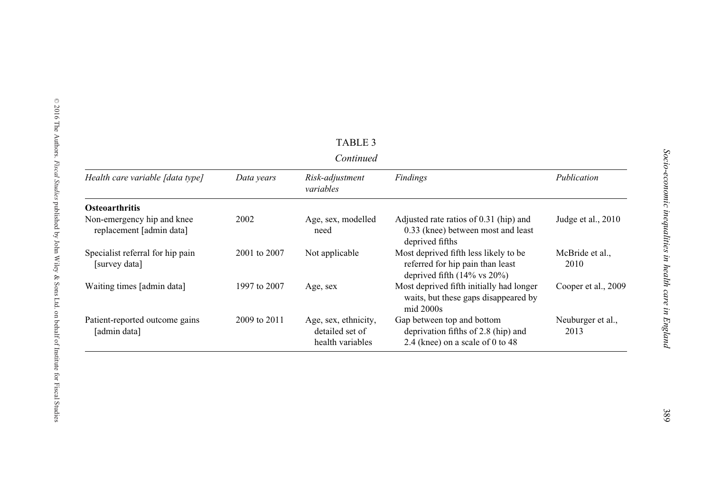| Continued                                              |              |                                                             |                                                                                                                       |                           |  |  |
|--------------------------------------------------------|--------------|-------------------------------------------------------------|-----------------------------------------------------------------------------------------------------------------------|---------------------------|--|--|
| Health care variable [data type]                       | Data years   | Risk-adjustment<br>variables                                | Findings                                                                                                              | Publication               |  |  |
| <b>Osteoarthritis</b>                                  |              |                                                             |                                                                                                                       |                           |  |  |
| Non-emergency hip and knee<br>replacement [admin data] | 2002         | Age, sex, modelled<br>need                                  | Adjusted rate ratios of 0.31 (hip) and<br>0.33 (knee) between most and least<br>deprived fifths                       | Judge et al., 2010        |  |  |
| Specialist referral for hip pain<br>[survey data]      | 2001 to 2007 | Not applicable                                              | Most deprived fifth less likely to be<br>referred for hip pain than least<br>deprived fifth $(14\% \text{ vs } 20\%)$ | McBride et al.,<br>2010   |  |  |
| Waiting times [admin data]                             | 1997 to 2007 | Age, sex                                                    | Most deprived fifth initially had longer<br>waits, but these gaps disappeared by<br>$mid$ 2000s                       | Cooper et al., 2009       |  |  |
| Patient-reported outcome gains<br>[admin data]         | 2009 to 2011 | Age, sex, ethnicity,<br>detailed set of<br>health variables | Gap between top and bottom<br>deprivation fifths of 2.8 (hip) and<br>2.4 (knee) on a scale of 0 to 48                 | Neuburger et al.,<br>2013 |  |  |

TABLE 3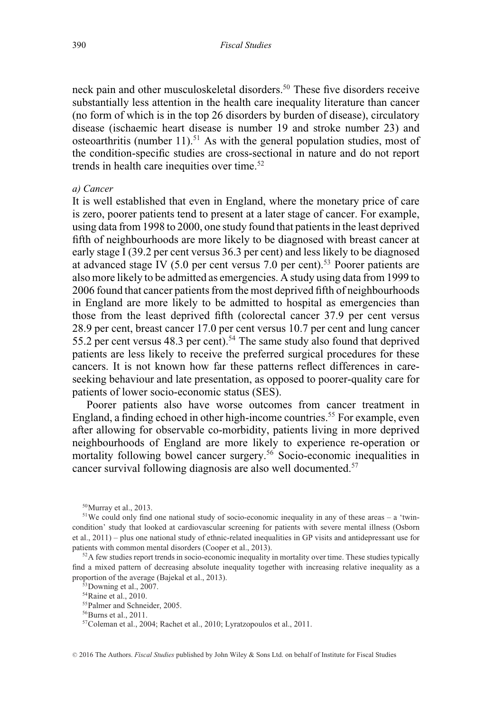neck pain and other musculoskeletal disorders.<sup>50</sup> These five disorders receive substantially less attention in the health care inequality literature than cancer (no form of which is in the top 26 disorders by burden of disease), circulatory disease (ischaemic heart disease is number 19 and stroke number 23) and osteoarthritis (number 11).<sup>51</sup> As with the general population studies, most of the condition-specific studies are cross-sectional in nature and do not report trends in health care inequities over time. $52$ 

#### *a) Cancer*

It is well established that even in England, where the monetary price of care is zero, poorer patients tend to present at a later stage of cancer. For example, using data from 1998 to 2000, one study found that patients in the least deprived fifth of neighbourhoods are more likely to be diagnosed with breast cancer at early stage I (39.2 per cent versus 36.3 per cent) and less likely to be diagnosed at advanced stage IV  $(5.0 \text{ per cent} \text{ versus } 7.0 \text{ per cent})$ .<sup>53</sup> Poorer patients are also more likely to be admitted as emergencies. A study using data from 1999 to 2006 found that cancer patients from the most deprived fifth of neighbourhoods in England are more likely to be admitted to hospital as emergencies than those from the least deprived fifth (colorectal cancer 37.9 per cent versus 28.9 per cent, breast cancer 17.0 per cent versus 10.7 per cent and lung cancer 55.2 per cent versus 48.3 per cent).<sup>54</sup> The same study also found that deprived patients are less likely to receive the preferred surgical procedures for these cancers. It is not known how far these patterns reflect differences in careseeking behaviour and late presentation, as opposed to poorer-quality care for patients of lower socio-economic status (SES).

Poorer patients also have worse outcomes from cancer treatment in England, a finding echoed in other high-income countries.<sup>55</sup> For example, even after allowing for observable co-morbidity, patients living in more deprived neighbourhoods of England are more likely to experience re-operation or mortality following bowel cancer surgery.<sup>56</sup> Socio-economic inequalities in cancer survival following diagnosis are also well documented.<sup>57</sup>

 $52A$  few studies report trends in socio-economic inequality in mortality over time. These studies typically find a mixed pattern of decreasing absolute inequality together with increasing relative inequality as a proportion of the average (Bajekal et al., 2013).

<sup>53</sup>Downing et al., 2007.

<sup>54</sup>Raine et al., 2010.

<sup>55</sup>Palmer and Schneider, 2005.

<sup>56</sup>Burns et al., 2011.

<sup>57</sup>Coleman et al., 2004; Rachet et al., 2010; Lyratzopoulos et al., 2011.

<sup>50</sup>Murray et al., 2013.

<sup>&</sup>lt;sup>51</sup>We could only find one national study of socio-economic inequality in any of these areas – a 'twincondition' study that looked at cardiovascular screening for patients with severe mental illness (Osborn et al., 2011) – plus one national study of ethnic-related inequalities in GP visits and antidepressant use for patients with common mental disorders (Cooper et al., 2013).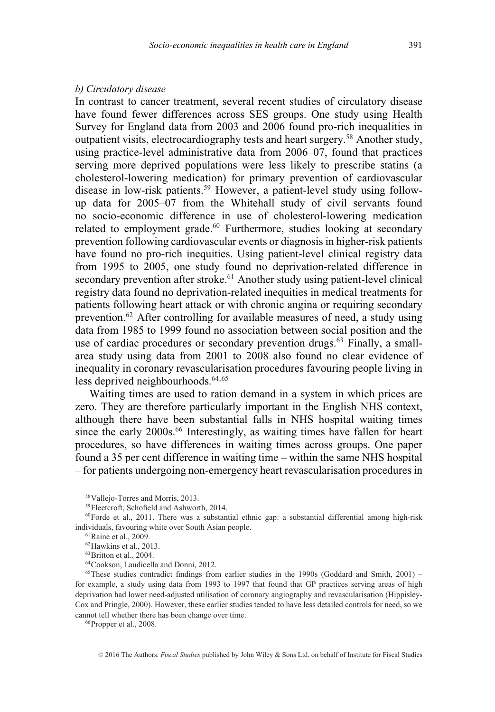#### *b) Circulatory disease*

In contrast to cancer treatment, several recent studies of circulatory disease have found fewer differences across SES groups. One study using Health Survey for England data from 2003 and 2006 found pro-rich inequalities in outpatient visits, electrocardiography tests and heart surgery.<sup>58</sup> Another study, using practice-level administrative data from 2006–07, found that practices serving more deprived populations were less likely to prescribe statins (a cholesterol-lowering medication) for primary prevention of cardiovascular disease in low-risk patients.<sup>59</sup> However, a patient-level study using followup data for 2005–07 from the Whitehall study of civil servants found no socio-economic difference in use of cholesterol-lowering medication related to employment grade. $60$  Furthermore, studies looking at secondary prevention following cardiovascular events or diagnosis in higher-risk patients have found no pro-rich inequities. Using patient-level clinical registry data from 1995 to 2005, one study found no deprivation-related difference in secondary prevention after stroke.<sup>61</sup> Another study using patient-level clinical registry data found no deprivation-related inequities in medical treatments for patients following heart attack or with chronic angina or requiring secondary prevention.<sup>62</sup> After controlling for available measures of need, a study using data from 1985 to 1999 found no association between social position and the use of cardiac procedures or secondary prevention drugs. $63$  Finally, a smallarea study using data from 2001 to 2008 also found no clear evidence of inequality in coronary revascularisation procedures favouring people living in less deprived neighbourhoods. $64,65$ 

Waiting times are used to ration demand in a system in which prices are zero. They are therefore particularly important in the English NHS context, although there have been substantial falls in NHS hospital waiting times since the early 2000s.<sup>66</sup> Interestingly, as waiting times have fallen for heart procedures, so have differences in waiting times across groups. One paper found a 35 per cent difference in waiting time – within the same NHS hospital – for patients undergoing non-emergency heart revascularisation procedures in

<sup>65</sup>These studies contradict findings from earlier studies in the 1990s (Goddard and Smith, 2001) – for example, a study using data from 1993 to 1997 that found that GP practices serving areas of high deprivation had lower need-adjusted utilisation of coronary angiography and revascularisation (Hippisley-Cox and Pringle, 2000). However, these earlier studies tended to have less detailed controls for need, so we cannot tell whether there has been change over time.

<sup>66</sup>Propper et al., 2008.

<sup>58</sup>Vallejo-Torres and Morris, 2013.

<sup>59</sup>Fleetcroft, Schofield and Ashworth, 2014.

 $60$ Forde et al., 2011. There was a substantial ethnic gap: a substantial differential among high-risk individuals, favouring white over South Asian people.

 $61$ Raine et al., 2009.

<sup>62</sup>Hawkins et al., 2013.

<sup>63</sup>Britton et al., 2004.

<sup>64</sup>Cookson, Laudicella and Donni, 2012.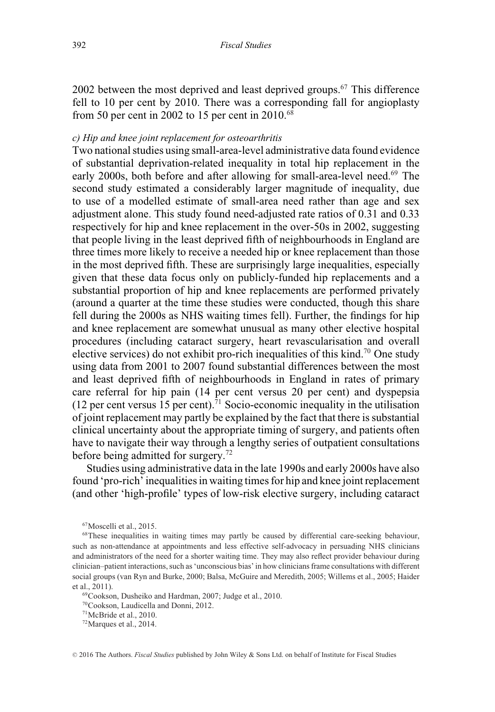2002 between the most deprived and least deprived groups. $67$  This difference fell to 10 per cent by 2010. There was a corresponding fall for angioplasty from 50 per cent in 2002 to 15 per cent in 2010. $^{68}$ 

#### *c) Hip and knee joint replacement for osteoarthritis*

Two national studies using small-area-level administrative data found evidence of substantial deprivation-related inequality in total hip replacement in the early 2000s, both before and after allowing for small-area-level need.<sup>69</sup> The second study estimated a considerably larger magnitude of inequality, due to use of a modelled estimate of small-area need rather than age and sex adjustment alone. This study found need-adjusted rate ratios of 0.31 and 0.33 respectively for hip and knee replacement in the over-50s in 2002, suggesting that people living in the least deprived fifth of neighbourhoods in England are three times more likely to receive a needed hip or knee replacement than those in the most deprived fifth. These are surprisingly large inequalities, especially given that these data focus only on publicly-funded hip replacements and a substantial proportion of hip and knee replacements are performed privately (around a quarter at the time these studies were conducted, though this share fell during the 2000s as NHS waiting times fell). Further, the findings for hip and knee replacement are somewhat unusual as many other elective hospital procedures (including cataract surgery, heart revascularisation and overall elective services) do not exhibit pro-rich inequalities of this kind.<sup>70</sup> One study using data from 2001 to 2007 found substantial differences between the most and least deprived fifth of neighbourhoods in England in rates of primary care referral for hip pain (14 per cent versus 20 per cent) and dyspepsia (12 per cent versus  $15$  per cent).<sup>71</sup> Socio-economic inequality in the utilisation of joint replacement may partly be explained by the fact that there is substantial clinical uncertainty about the appropriate timing of surgery, and patients often have to navigate their way through a lengthy series of outpatient consultations before being admitted for surgery.<sup>72</sup>

Studies using administrative data in the late 1990s and early 2000s have also found 'pro-rich' inequalities in waiting times for hip and knee joint replacement (and other 'high-profile' types of low-risk elective surgery, including cataract

<sup>67</sup>Moscelli et al., 2015.

<sup>70</sup>Cookson, Laudicella and Donni, 2012.

<sup>71</sup>McBride et al., 2010.

<sup>72</sup>Marques et al., 2014.

<sup>&</sup>lt;sup>68</sup>These inequalities in waiting times may partly be caused by differential care-seeking behaviour, such as non-attendance at appointments and less effective self-advocacy in persuading NHS clinicians and administrators of the need for a shorter waiting time. They may also reflect provider behaviour during clinician–patient interactions, such as 'unconscious bias' in how clinicians frame consultations with different social groups (van Ryn and Burke, 2000; Balsa, McGuire and Meredith, 2005; Willems et al., 2005; Haider et al., 2011).

<sup>69</sup>Cookson, Dusheiko and Hardman, 2007; Judge et al., 2010.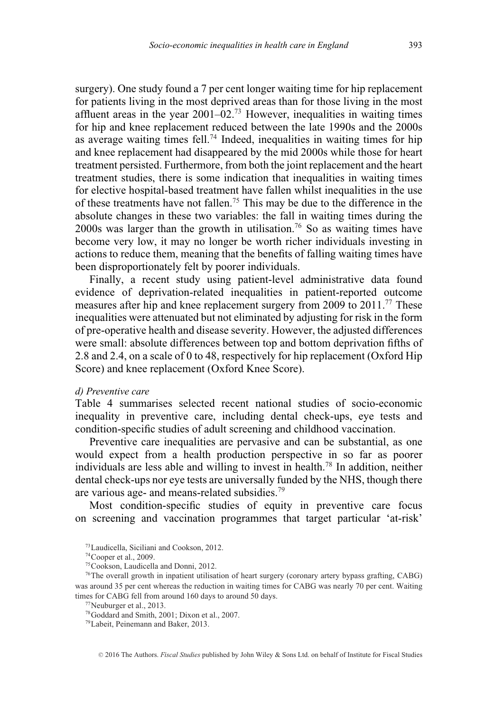surgery). One study found a 7 per cent longer waiting time for hip replacement for patients living in the most deprived areas than for those living in the most affluent areas in the year  $2001-\overline{02}$ .<sup>73</sup> However, inequalities in waiting times for hip and knee replacement reduced between the late 1990s and the 2000s as average waiting times fell.<sup>74</sup> Indeed, inequalities in waiting times for hip and knee replacement had disappeared by the mid 2000s while those for heart treatment persisted. Furthermore, from both the joint replacement and the heart treatment studies, there is some indication that inequalities in waiting times for elective hospital-based treatment have fallen whilst inequalities in the use of these treatments have not fallen.<sup>75</sup> This may be due to the difference in the absolute changes in these two variables: the fall in waiting times during the 2000s was larger than the growth in utilisation.<sup>76</sup> So as waiting times have become very low, it may no longer be worth richer individuals investing in actions to reduce them, meaning that the benefits of falling waiting times have been disproportionately felt by poorer individuals.

Finally, a recent study using patient-level administrative data found evidence of deprivation-related inequalities in patient-reported outcome measures after hip and knee replacement surgery from 2009 to  $2011$ .<sup>77</sup> These inequalities were attenuated but not eliminated by adjusting for risk in the form of pre-operative health and disease severity. However, the adjusted differences were small: absolute differences between top and bottom deprivation fifths of 2.8 and 2.4, on a scale of 0 to 48, respectively for hip replacement (Oxford Hip Score) and knee replacement (Oxford Knee Score).

#### *d) Preventive care*

Table 4 summarises selected recent national studies of socio-economic inequality in preventive care, including dental check-ups, eye tests and condition-specific studies of adult screening and childhood vaccination.

Preventive care inequalities are pervasive and can be substantial, as one would expect from a health production perspective in so far as poorer individuals are less able and willing to invest in health.<sup>78</sup> In addition, neither dental check-ups nor eye tests are universally funded by the NHS, though there are various age- and means-related subsidies.<sup>79</sup>

Most condition-specific studies of equity in preventive care focus on screening and vaccination programmes that target particular 'at-risk'

<sup>73</sup>Laudicella, Siciliani and Cookson, 2012.

<sup>74</sup>Cooper et al., 2009.

<sup>75</sup>Cookson, Laudicella and Donni, 2012.

<sup>&</sup>lt;sup>76</sup>The overall growth in inpatient utilisation of heart surgery (coronary artery bypass grafting, CABG) was around 35 per cent whereas the reduction in waiting times for CABG was nearly 70 per cent. Waiting times for CABG fell from around 160 days to around 50 days.

<sup>77</sup>Neuburger et al., 2013.

<sup>78</sup>Goddard and Smith, 2001; Dixon et al., 2007.

<sup>79</sup>Labeit, Peinemann and Baker, 2013.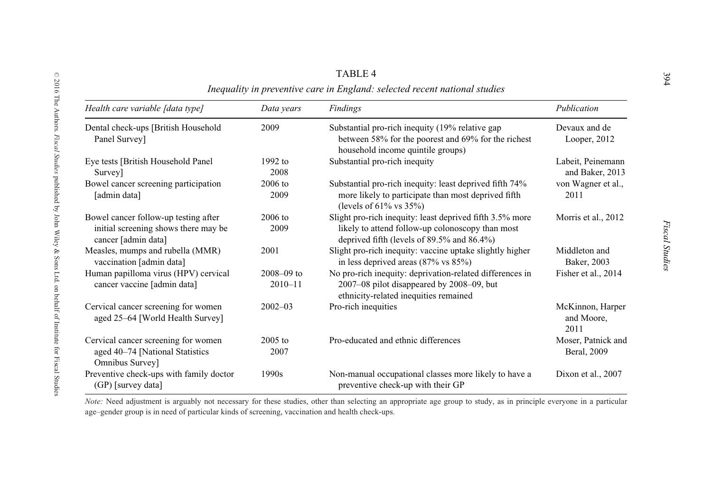|                                                                                                     |                               | TABLE 4<br>Inequality in preventive care in England: selected recent national studies                                                                             |                                        | 394            |
|-----------------------------------------------------------------------------------------------------|-------------------------------|-------------------------------------------------------------------------------------------------------------------------------------------------------------------|----------------------------------------|----------------|
| Health care variable [data type]                                                                    | Data years                    | Findings                                                                                                                                                          | Publication                            |                |
| Dental check-ups [British Household<br>Panel Survey]                                                | 2009                          | Substantial pro-rich inequity (19% relative gap<br>between 58% for the poorest and 69% for the richest<br>household income quintile groups)                       | Devaux and de<br>Looper, $2012$        |                |
| Eye tests [British Household Panel<br>Survey]                                                       | $1992$ to<br>2008             | Substantial pro-rich inequity                                                                                                                                     | Labeit, Peinemann<br>and Baker, 2013   |                |
| Bowel cancer screening participation<br>[admin data]                                                | $2006$ to<br>2009             | Substantial pro-rich inequity: least deprived fifth 74%<br>more likely to participate than most deprived fifth<br>(levels of $61\%$ vs $35\%$ )                   | von Wagner et al.,<br>2011             |                |
| Bowel cancer follow-up testing after<br>initial screening shows there may be<br>cancer [admin data] | $2006$ to<br>2009             | Slight pro-rich inequity: least deprived fifth 3.5% more<br>likely to attend follow-up colonoscopy than most<br>deprived fifth (levels of $89.5\%$ and $86.4\%$ ) | Morris et al., 2012                    | Fiscal Studies |
| Measles, mumps and rubella (MMR)<br>vaccination [admin data]                                        | 2001                          | Slight pro-rich inequity: vaccine uptake slightly higher<br>in less deprived areas $(87\% \text{ vs } 85\%)$                                                      | Middleton and<br>Baker, 2003           |                |
| Human papilloma virus (HPV) cervical<br>cancer vaccine [admin data]                                 | $2008 - 09$ to<br>$2010 - 11$ | No pro-rich inequity: deprivation-related differences in<br>2007-08 pilot disappeared by 2008-09, but<br>ethnicity-related inequities remained                    | Fisher et al., 2014                    |                |
| Cervical cancer screening for women<br>aged 25-64 [World Health Survey]                             | $2002 - 03$                   | Pro-rich inequities                                                                                                                                               | McKinnon, Harper<br>and Moore,<br>2011 |                |
| Cervical cancer screening for women<br>aged 40-74 [National Statistics<br>Omnibus Survey]           | $2005$ to<br>2007             | Pro-educated and ethnic differences                                                                                                                               | Moser, Patnick and<br>Beral, 2009      |                |
| Preventive check-ups with family doctor<br>(GP) [survey data]                                       | 1990s                         | Non-manual occupational classes more likely to have a<br>preventive check-up with their GP                                                                        | Dixon et al., 2007                     |                |

 *Note:* Need adjustment is arguably not necessary for these studies, other than selecting an appropriate age group to study, as in principle everyone in <sup>a</sup> particular age–gender group is in need of particular kinds of screening, vaccination and health check-ups.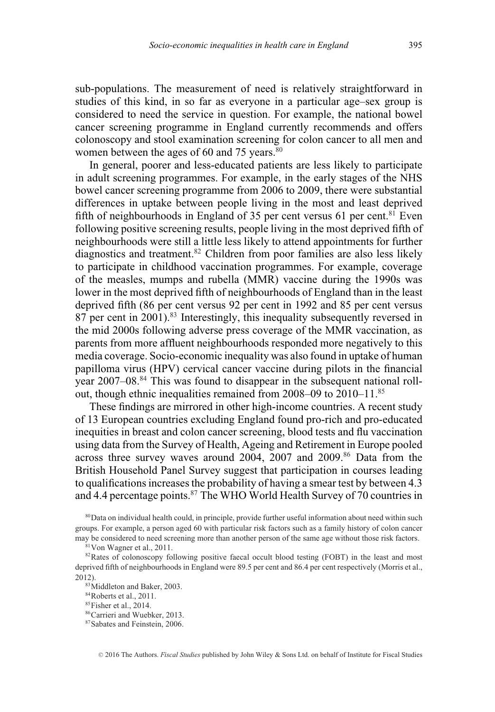sub-populations. The measurement of need is relatively straightforward in studies of this kind, in so far as everyone in a particular age–sex group is considered to need the service in question. For example, the national bowel cancer screening programme in England currently recommends and offers colonoscopy and stool examination screening for colon cancer to all men and women between the ages of 60 and 75 years.<sup>80</sup>

In general, poorer and less-educated patients are less likely to participate in adult screening programmes. For example, in the early stages of the NHS bowel cancer screening programme from 2006 to 2009, there were substantial differences in uptake between people living in the most and least deprived fifth of neighbourhoods in England of 35 per cent versus 61 per cent.<sup>81</sup> Even following positive screening results, people living in the most deprived fifth of neighbourhoods were still a little less likely to attend appointments for further diagnostics and treatment.<sup>82</sup> Children from poor families are also less likely to participate in childhood vaccination programmes. For example, coverage of the measles, mumps and rubella (MMR) vaccine during the 1990s was lower in the most deprived fifth of neighbourhoods of England than in the least deprived fifth (86 per cent versus 92 per cent in 1992 and 85 per cent versus  $87$  per cent in  $2001$ ).<sup>83</sup> Interestingly, this inequality subsequently reversed in the mid 2000s following adverse press coverage of the MMR vaccination, as parents from more affluent neighbourhoods responded more negatively to this media coverage. Socio-economic inequality was also found in uptake of human papilloma virus (HPV) cervical cancer vaccine during pilots in the financial year 2007–08.<sup>84</sup> This was found to disappear in the subsequent national rollout, though ethnic inequalities remained from 2008–09 to 2010–11.<sup>85</sup>

These findings are mirrored in other high-income countries. A recent study of 13 European countries excluding England found pro-rich and pro-educated inequities in breast and colon cancer screening, blood tests and flu vaccination using data from the Survey of Health, Ageing and Retirement in Europe pooled across three survey waves around 2004, 2007 and 2009.<sup>86</sup> Data from the British Household Panel Survey suggest that participation in courses leading to qualifications increases the probability of having a smear test by between 4.3 and 4.4 percentage points.<sup>87</sup> The WHO World Health Survey of 70 countries in

<sup>80</sup>Data on individual health could, in principle, provide further useful information about need within such groups. For example, a person aged 60 with particular risk factors such as a family history of colon cancer may be considered to need screening more than another person of the same age without those risk factors.

<sup>81</sup>Von Wagner et al., 2011.

<sup>82</sup>Rates of colonoscopy following positive faecal occult blood testing (FOBT) in the least and most deprived fifth of neighbourhoods in England were 89.5 per cent and 86.4 per cent respectively (Morris et al., 2012).

<sup>83</sup>Middleton and Baker, 2003.

<sup>84</sup>Roberts et al., 2011.

<sup>85</sup>Fisher et al., 2014.

<sup>86</sup>Carrieri and Wuebker, 2013.

<sup>87</sup>Sabates and Feinstein, 2006.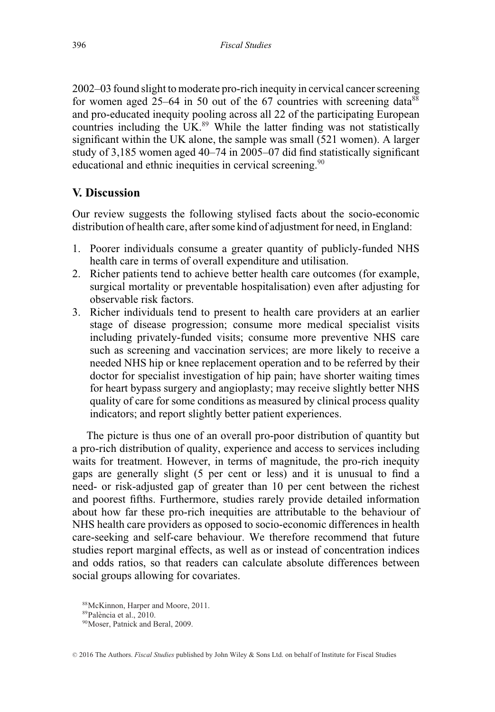2002–03 found slight to moderate pro-rich inequity in cervical cancer screening for women aged 25–64 in 50 out of the 67 countries with screening data<sup>88</sup> and pro-educated inequity pooling across all 22 of the participating European countries including the UK.<sup>89</sup> While the latter finding was not statistically significant within the UK alone, the sample was small (521 women). A larger study of 3,185 women aged 40–74 in 2005–07 did find statistically significant educational and ethnic inequities in cervical screening.<sup>90</sup>

# **V. Discussion**

Our review suggests the following stylised facts about the socio-economic distribution of health care, after some kind of adjustment for need, in England:

- 1. Poorer individuals consume a greater quantity of publicly-funded NHS health care in terms of overall expenditure and utilisation.
- 2. Richer patients tend to achieve better health care outcomes (for example, surgical mortality or preventable hospitalisation) even after adjusting for observable risk factors.
- 3. Richer individuals tend to present to health care providers at an earlier stage of disease progression; consume more medical specialist visits including privately-funded visits; consume more preventive NHS care such as screening and vaccination services; are more likely to receive a needed NHS hip or knee replacement operation and to be referred by their doctor for specialist investigation of hip pain; have shorter waiting times for heart bypass surgery and angioplasty; may receive slightly better NHS quality of care for some conditions as measured by clinical process quality indicators; and report slightly better patient experiences.

The picture is thus one of an overall pro-poor distribution of quantity but a pro-rich distribution of quality, experience and access to services including waits for treatment. However, in terms of magnitude, the pro-rich inequity gaps are generally slight (5 per cent or less) and it is unusual to find a need- or risk-adjusted gap of greater than 10 per cent between the richest and poorest fifths. Furthermore, studies rarely provide detailed information about how far these pro-rich inequities are attributable to the behaviour of NHS health care providers as opposed to socio-economic differences in health care-seeking and self-care behaviour. We therefore recommend that future studies report marginal effects, as well as or instead of concentration indices and odds ratios, so that readers can calculate absolute differences between social groups allowing for covariates.

<sup>88</sup>McKinnon, Harper and Moore, 2011.

<sup>&</sup>lt;sup>89</sup>Palència et al., 2010.

<sup>90</sup>Moser, Patnick and Beral, 2009.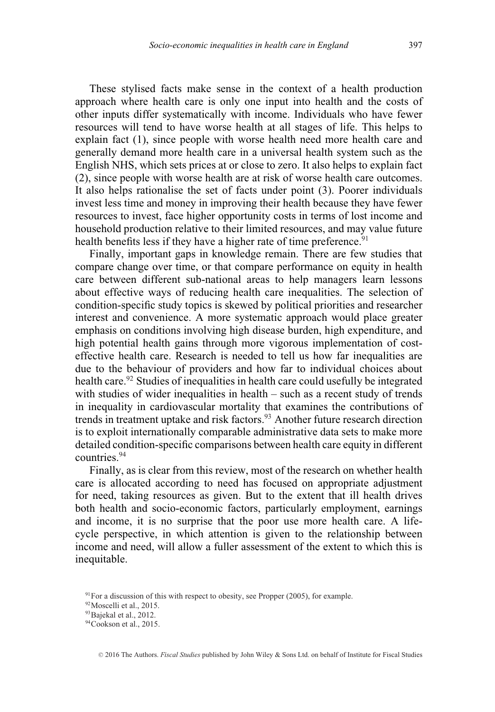These stylised facts make sense in the context of a health production approach where health care is only one input into health and the costs of other inputs differ systematically with income. Individuals who have fewer resources will tend to have worse health at all stages of life. This helps to explain fact (1), since people with worse health need more health care and generally demand more health care in a universal health system such as the English NHS, which sets prices at or close to zero. It also helps to explain fact (2), since people with worse health are at risk of worse health care outcomes. It also helps rationalise the set of facts under point (3). Poorer individuals invest less time and money in improving their health because they have fewer resources to invest, face higher opportunity costs in terms of lost income and household production relative to their limited resources, and may value future health benefits less if they have a higher rate of time preference.<sup>91</sup>

Finally, important gaps in knowledge remain. There are few studies that compare change over time, or that compare performance on equity in health care between different sub-national areas to help managers learn lessons about effective ways of reducing health care inequalities. The selection of condition-specific study topics is skewed by political priorities and researcher interest and convenience. A more systematic approach would place greater emphasis on conditions involving high disease burden, high expenditure, and high potential health gains through more vigorous implementation of costeffective health care. Research is needed to tell us how far inequalities are due to the behaviour of providers and how far to individual choices about health care.<sup>92</sup> Studies of inequalities in health care could usefully be integrated with studies of wider inequalities in health – such as a recent study of trends in inequality in cardiovascular mortality that examines the contributions of trends in treatment uptake and risk factors.<sup>93</sup> Another future research direction is to exploit internationally comparable administrative data sets to make more detailed condition-specific comparisons between health care equity in different countries.<sup>94</sup>

Finally, as is clear from this review, most of the research on whether health care is allocated according to need has focused on appropriate adjustment for need, taking resources as given. But to the extent that ill health drives both health and socio-economic factors, particularly employment, earnings and income, it is no surprise that the poor use more health care. A lifecycle perspective, in which attention is given to the relationship between income and need, will allow a fuller assessment of the extent to which this is inequitable.

<sup>91</sup>For a discussion of this with respect to obesity, see Propper (2005), for example.

<sup>92</sup>Moscelli et al., 2015.

<sup>93</sup>Bajekal et al., 2012.

<sup>&</sup>lt;sup>94</sup>Cookson et al., 2015.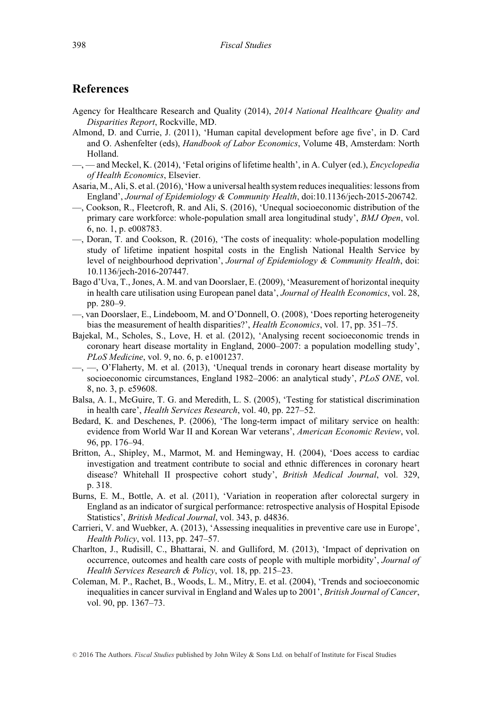## **References**

- Agency for Healthcare Research and Quality (2014), *2014 National Healthcare Quality and Disparities Report*, Rockville, MD.
- Almond, D. and Currie, J. (2011), 'Human capital development before age five', in D. Card and O. Ashenfelter (eds), *Handbook of Labor Economics*, Volume 4B, Amsterdam: North Holland.
- —, and Meckel, K. (2014), 'Fetal origins of lifetime health', in A. Culyer (ed.), *Encyclopedia of Health Economics*, Elsevier.
- Asaria, M., Ali, S. et al. (2016), 'How a universal health system reduces inequalities: lessons from England', *Journal of Epidemiology & Community Health*, doi:10.1136/jech-2015-206742.
- —, Cookson, R., Fleetcroft, R. and Ali, S. (2016), 'Unequal socioeconomic distribution of the primary care workforce: whole-population small area longitudinal study', *BMJ Open*, vol. 6, no. 1, p. e008783.
- —, Doran, T. and Cookson, R. (2016), 'The costs of inequality: whole-population modelling study of lifetime inpatient hospital costs in the English National Health Service by level of neighbourhood deprivation', *Journal of Epidemiology & Community Health*, doi: 10.1136/jech-2016-207447.
- Bago d'Uva, T., Jones, A. M. and van Doorslaer, E. (2009), 'Measurement of horizontal inequity in health care utilisation using European panel data', *Journal of Health Economics*, vol. 28, pp. 280–9.
- —, van Doorslaer, E., Lindeboom, M. and O'Donnell, O. (2008), 'Does reporting heterogeneity bias the measurement of health disparities?', *Health Economics*, vol. 17, pp. 351–75.
- Bajekal, M., Scholes, S., Love, H. et al. (2012), 'Analysing recent socioeconomic trends in coronary heart disease mortality in England, 2000–2007: a population modelling study', *PLoS Medicine*, vol. 9, no. 6, p. e1001237.
- $\overline{a}$ ,  $\overline{a}$ , O'Flaherty, M. et al. (2013), 'Unequal trends in coronary heart disease mortality by socioeconomic circumstances, England 1982–2006: an analytical study', *PLoS ONE*, vol. 8, no. 3, p. e59608.
- Balsa, A. I., McGuire, T. G. and Meredith, L. S. (2005), 'Testing for statistical discrimination in health care', *Health Services Research*, vol. 40, pp. 227–52.
- Bedard, K. and Deschenes, P. (2006), 'The long-term impact of military service on health: evidence from World War II and Korean War veterans', *American Economic Review*, vol. 96, pp. 176–94.
- Britton, A., Shipley, M., Marmot, M. and Hemingway, H. (2004), 'Does access to cardiac investigation and treatment contribute to social and ethnic differences in coronary heart disease? Whitehall II prospective cohort study', *British Medical Journal*, vol. 329, p. 318.
- Burns, E. M., Bottle, A. et al. (2011), 'Variation in reoperation after colorectal surgery in England as an indicator of surgical performance: retrospective analysis of Hospital Episode Statistics', *British Medical Journal*, vol. 343, p. d4836.
- Carrieri, V. and Wuebker, A. (2013), 'Assessing inequalities in preventive care use in Europe', *Health Policy*, vol. 113, pp. 247–57.
- Charlton, J., Rudisill, C., Bhattarai, N. and Gulliford, M. (2013), 'Impact of deprivation on occurrence, outcomes and health care costs of people with multiple morbidity', *Journal of Health Services Research & Policy*, vol. 18, pp. 215–23.
- Coleman, M. P., Rachet, B., Woods, L. M., Mitry, E. et al. (2004), 'Trends and socioeconomic inequalities in cancer survival in England and Wales up to 2001', *British Journal of Cancer*, vol. 90, pp. 1367–73.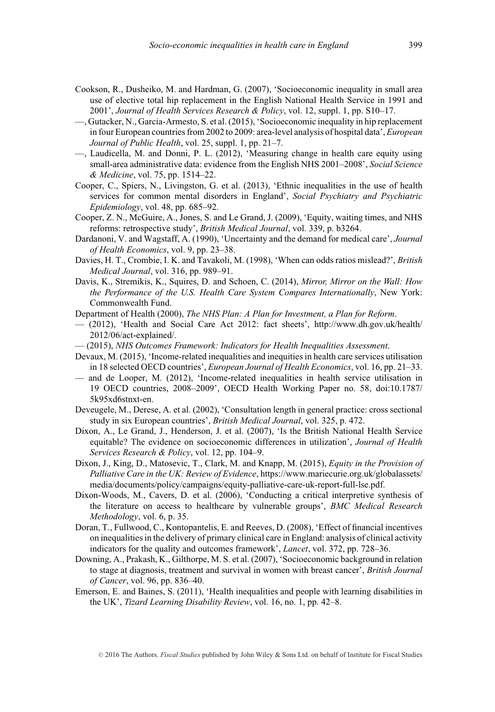- Cookson, R., Dusheiko, M. and Hardman, G. (2007), 'Socioeconomic inequality in small area use of elective total hip replacement in the English National Health Service in 1991 and 2001', *Journal of Health Services Research & Policy*, vol. 12, suppl. 1, pp. S10–17.
- —, Gutacker, N., Garcia-Armesto, S. et al. (2015), 'Socioeconomic inequality in hip replacement in four European countries from 2002 to 2009: area-level analysis of hospital data', *European Journal of Public Health*, vol. 25, suppl. 1, pp. 21–7.
- —, Laudicella, M. and Donni, P. L. (2012), 'Measuring change in health care equity using small-area administrative data: evidence from the English NHS 2001–2008', *Social Science & Medicine*, vol. 75, pp. 1514–22.
- Cooper, C., Spiers, N., Livingston, G. et al. (2013), 'Ethnic inequalities in the use of health services for common mental disorders in England', *Social Psychiatry and Psychiatric Epidemiology*, vol. 48, pp. 685–92.
- Cooper, Z. N., McGuire, A., Jones, S. and Le Grand, J. (2009), 'Equity, waiting times, and NHS reforms: retrospective study', *British Medical Journal*, vol. 339, p. b3264.
- Dardanoni, V. and Wagstaff, A. (1990), 'Uncertainty and the demand for medical care', *Journal of Health Economics*, vol. 9, pp. 23–38.
- Davies, H. T., Crombie, I. K. and Tavakoli, M. (1998), 'When can odds ratios mislead?', *British Medical Journal*, vol. 316, pp. 989–91.
- Davis, K., Stremikis, K., Squires, D. and Schoen, C. (2014), *Mirror, Mirror on the Wall: How the Performance of the U.S. Health Care System Compares Internationally*, New York: Commonwealth Fund.
- Department of Health (2000), *The NHS Plan: A Plan for Investment, a Plan for Reform*.
- (2012), 'Health and Social Care Act 2012: fact sheets', http://www.dh.gov.uk/health/ 2012/06/act-explained/.
- (2015), *NHS Outcomes Framework: Indicators for Health Inequalities Assessment*.
- Devaux, M. (2015), 'Income-related inequalities and inequities in health care services utilisation in 18 selected OECD countries', *European Journal of Health Economics*, vol. 16, pp. 21–33.
- and de Looper, M. (2012), 'Income-related inequalities in health service utilisation in 19 OECD countries, 2008–2009', OECD Health Working Paper no. 58, doi:10.1787/ 5k95xd6stnxt-en.
- Deveugele, M., Derese, A. et al. (2002), 'Consultation length in general practice: cross sectional study in six European countries', *British Medical Journal*, vol. 325, p. 472.
- Dixon, A., Le Grand, J., Henderson, J. et al. (2007), 'Is the British National Health Service equitable? The evidence on socioeconomic differences in utilization', *Journal of Health Services Research & Policy*, vol. 12, pp. 104–9.
- Dixon, J., King, D., Matosevic, T., Clark, M. and Knapp, M. (2015), *Equity in the Provision of Palliative Care in the UK: Review of Evidence*, https://www.mariecurie.org.uk/globalassets/ media/documents/policy/campaigns/equity-palliative-care-uk-report-full-lse.pdf.
- Dixon-Woods, M., Cavers, D. et al. (2006), 'Conducting a critical interpretive synthesis of the literature on access to healthcare by vulnerable groups', *BMC Medical Research Methodology*, vol. 6, p. 35.
- Doran, T., Fullwood, C., Kontopantelis, E. and Reeves, D. (2008), 'Effect of financial incentives on inequalities in the delivery of primary clinical care in England: analysis of clinical activity indicators for the quality and outcomes framework', *Lancet*, vol. 372, pp. 728–36.
- Downing, A., Prakash, K., Gilthorpe, M. S. et al. (2007), 'Socioeconomic background in relation to stage at diagnosis, treatment and survival in women with breast cancer', *British Journal of Cancer*, vol. 96, pp. 836–40.
- Emerson, E. and Baines, S. (2011), 'Health inequalities and people with learning disabilities in the UK', *Tizard Learning Disability Review*, vol. 16, no. 1, pp. 42–8.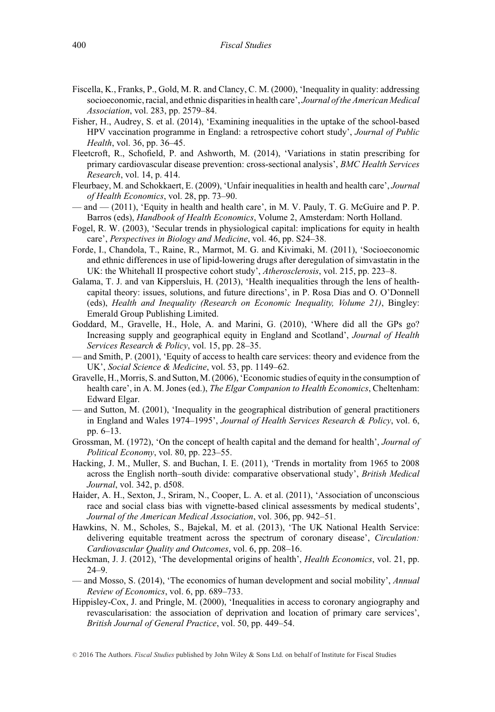- Fiscella, K., Franks, P., Gold, M. R. and Clancy, C. M. (2000), 'Inequality in quality: addressing socioeconomic, racial, and ethnic disparities in health care', *Journal of the American Medical Association*, vol. 283, pp. 2579–84.
- Fisher, H., Audrey, S. et al. (2014), 'Examining inequalities in the uptake of the school-based HPV vaccination programme in England: a retrospective cohort study', *Journal of Public Health*, vol. 36, pp. 36–45.
- Fleetcroft, R., Schofield, P. and Ashworth, M. (2014), 'Variations in statin prescribing for primary cardiovascular disease prevention: cross-sectional analysis', *BMC Health Services Research*, vol. 14, p. 414.
- Fleurbaey, M. and Schokkaert, E. (2009), 'Unfair inequalities in health and health care', *Journal of Health Economics*, vol. 28, pp. 73–90.
- and (2011), 'Equity in health and health care', in M. V. Pauly, T. G. McGuire and P. P. Barros (eds), *Handbook of Health Economics*, Volume 2, Amsterdam: North Holland.
- Fogel, R. W. (2003), 'Secular trends in physiological capital: implications for equity in health care', *Perspectives in Biology and Medicine*, vol. 46, pp. S24–38.
- Forde, I., Chandola, T., Raine, R., Marmot, M. G. and Kivimaki, M. (2011), 'Socioeconomic and ethnic differences in use of lipid-lowering drugs after deregulation of simvastatin in the UK: the Whitehall II prospective cohort study', *Atherosclerosis*, vol. 215, pp. 223–8.
- Galama, T. J. and van Kippersluis, H. (2013), 'Health inequalities through the lens of healthcapital theory: issues, solutions, and future directions', in P. Rosa Dias and O. O'Donnell (eds), *Health and Inequality (Research on Economic Inequality, Volume 21)*, Bingley: Emerald Group Publishing Limited.
- Goddard, M., Gravelle, H., Hole, A. and Marini, G. (2010), 'Where did all the GPs go? Increasing supply and geographical equity in England and Scotland', *Journal of Health Services Research & Policy*, vol. 15, pp. 28–35.
- and Smith, P. (2001), 'Equity of access to health care services: theory and evidence from the UK', *Social Science & Medicine*, vol. 53, pp. 1149–62.
- Gravelle, H., Morris, S. and Sutton, M. (2006), 'Economic studies of equity in the consumption of health care', in A. M. Jones (ed.), *The Elgar Companion to Health Economics*, Cheltenham: Edward Elgar.
- and Sutton, M. (2001), 'Inequality in the geographical distribution of general practitioners in England and Wales 1974–1995', *Journal of Health Services Research & Policy*, vol. 6, pp. 6–13.
- Grossman, M. (1972), 'On the concept of health capital and the demand for health', *Journal of Political Economy*, vol. 80, pp. 223–55.
- Hacking, J. M., Muller, S. and Buchan, I. E. (2011), 'Trends in mortality from 1965 to 2008 across the English north–south divide: comparative observational study', *British Medical Journal*, vol. 342, p. d508.
- Haider, A. H., Sexton, J., Sriram, N., Cooper, L. A. et al. (2011), 'Association of unconscious race and social class bias with vignette-based clinical assessments by medical students', *Journal of the American Medical Association*, vol. 306, pp. 942–51.
- Hawkins, N. M., Scholes, S., Bajekal, M. et al. (2013), 'The UK National Health Service: delivering equitable treatment across the spectrum of coronary disease', *Circulation: Cardiovascular Quality and Outcomes*, vol. 6, pp. 208–16.
- Heckman, J. J. (2012), 'The developmental origins of health', *Health Economics*, vol. 21, pp. 24–9.
- and Mosso, S. (2014), 'The economics of human development and social mobility', *Annual Review of Economics*, vol. 6, pp. 689–733.
- Hippisley-Cox, J. and Pringle, M. (2000), 'Inequalities in access to coronary angiography and revascularisation: the association of deprivation and location of primary care services', *British Journal of General Practice*, vol. 50, pp. 449–54.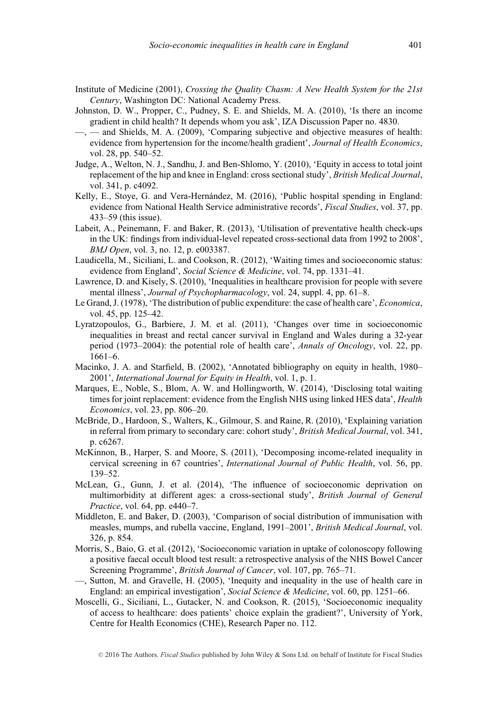- Institute of Medicine (2001), *Crossing the Quality Chasm: A New Health System for the 21st Century*, Washington DC: National Academy Press.
- Johnston, D. W., Propper, C., Pudney, S. E. and Shields, M. A. (2010), 'Is there an income gradient in child health? It depends whom you ask', IZA Discussion Paper no. 4830.
- and Shields, M. A. (2009), 'Comparing subjective and objective measures of health: evidence from hypertension for the income/health gradient', *Journal of Health Economics*, vol. 28, pp. 540–52.
- Judge, A., Welton, N. J., Sandhu, J. and Ben-Shlomo, Y. (2010), 'Equity in access to total joint replacement of the hip and knee in England: cross sectional study', *British Medical Journal*, vol. 341, p. c4092.
- Kelly, E., Stoye, G. and Vera-Hernández, M. (2016), 'Public hospital spending in England: evidence from National Health Service administrative records', *Fiscal Studies*, vol. 37, pp. 433–59 (this issue).
- Labeit, A., Peinemann, F. and Baker, R. (2013), 'Utilisation of preventative health check-ups in the UK: findings from individual-level repeated cross-sectional data from 1992 to 2008', *BMJ Open*, vol. 3, no. 12, p. e003387.
- Laudicella, M., Siciliani, L. and Cookson, R. (2012), 'Waiting times and socioeconomic status: evidence from England', *Social Science & Medicine*, vol. 74, pp. 1331–41.
- Lawrence, D. and Kisely, S. (2010), 'Inequalities in healthcare provision for people with severe mental illness', *Journal of Psychopharmacology*, vol. 24, suppl. 4, pp. 61–8.
- Le Grand, J. (1978), 'The distribution of public expenditure: the case of health care', *Economica*, vol. 45, pp. 125–42.
- Lyratzopoulos, G., Barbiere, J. M. et al. (2011), 'Changes over time in socioeconomic inequalities in breast and rectal cancer survival in England and Wales during a 32-year period (1973–2004): the potential role of health care', *Annals of Oncology*, vol. 22, pp. 1661–6.
- Macinko, J. A. and Starfield, B. (2002), 'Annotated bibliography on equity in health, 1980– 2001', *International Journal for Equity in Health*, vol. 1, p. 1.
- Marques, E., Noble, S., Blom, A. W. and Hollingworth, W. (2014), 'Disclosing total waiting times for joint replacement: evidence from the English NHS using linked HES data', *Health Economics*, vol. 23, pp. 806–20.
- McBride, D., Hardoon, S., Walters, K., Gilmour, S. and Raine, R. (2010), 'Explaining variation in referral from primary to secondary care: cohort study', *British Medical Journal*, vol. 341, p. c6267.
- McKinnon, B., Harper, S. and Moore, S. (2011), 'Decomposing income-related inequality in cervical screening in 67 countries', *International Journal of Public Health*, vol. 56, pp. 139–52.
- McLean, G., Gunn, J. et al. (2014), 'The influence of socioeconomic deprivation on multimorbidity at different ages: a cross-sectional study', *British Journal of General Practice*, vol. 64, pp. e440–7.
- Middleton, E. and Baker, D. (2003), 'Comparison of social distribution of immunisation with measles, mumps, and rubella vaccine, England, 1991–2001', *British Medical Journal*, vol. 326, p. 854.
- Morris, S., Baio, G. et al. (2012), 'Socioeconomic variation in uptake of colonoscopy following a positive faecal occult blood test result: a retrospective analysis of the NHS Bowel Cancer Screening Programme', *British Journal of Cancer*, vol. 107, pp. 765–71.
- —, Sutton, M. and Gravelle, H. (2005), 'Inequity and inequality in the use of health care in England: an empirical investigation', *Social Science & Medicine*, vol. 60, pp. 1251–66.
- Moscelli, G., Siciliani, L., Gutacker, N. and Cookson, R. (2015), 'Socioeconomic inequality of access to healthcare: does patients' choice explain the gradient?', University of York, Centre for Health Economics (CHE), Research Paper no. 112.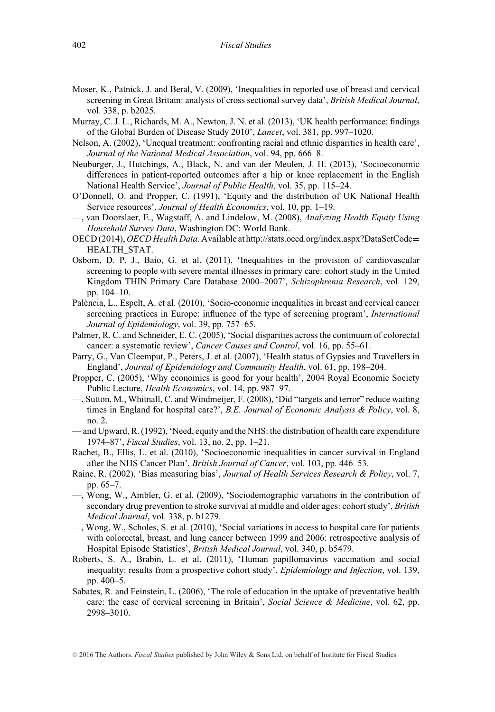- Moser, K., Patnick, J. and Beral, V. (2009), 'Inequalities in reported use of breast and cervical screening in Great Britain: analysis of cross sectional survey data', *British Medical Journal*, vol. 338, p. b2025.
- Murray, C. J. L., Richards, M. A., Newton, J. N. et al. (2013), 'UK health performance: findings of the Global Burden of Disease Study 2010', *Lancet*, vol. 381, pp. 997–1020.
- Nelson, A. (2002), 'Unequal treatment: confronting racial and ethnic disparities in health care', *Journal of the National Medical Association*, vol. 94, pp. 666–8.
- Neuburger, J., Hutchings, A., Black, N. and van der Meulen, J. H. (2013), 'Socioeconomic differences in patient-reported outcomes after a hip or knee replacement in the English National Health Service', *Journal of Public Health*, vol. 35, pp. 115–24.
- O'Donnell, O. and Propper, C. (1991), 'Equity and the distribution of UK National Health Service resources', *Journal of Health Economics*, vol. 10, pp. 1–19.
- —, van Doorslaer, E., Wagstaff, A. and Lindelow, M. (2008), *Analyzing Health Equity Using Household Survey Data*, Washington DC: World Bank.
- OECD (2014), *OECD Health Data*. Available at http://stats.oecd.org/index.aspx?DataSetCode= HEALTH\_STAT.
- Osborn, D. P. J., Baio, G. et al. (2011), 'Inequalities in the provision of cardiovascular screening to people with severe mental illnesses in primary care: cohort study in the United Kingdom THIN Primary Care Database 2000–2007', *Schizophrenia Research*, vol. 129, pp. 104–10.
- Palencia, L., Espelt, A. et al. (2010), 'Socio-economic inequalities in breast and cervical cancer ` screening practices in Europe: influence of the type of screening program', *International Journal of Epidemiology*, vol. 39, pp. 757–65.
- Palmer, R. C. and Schneider, E. C. (2005), 'Social disparities across the continuum of colorectal cancer: a systematic review', *Cancer Causes and Control*, vol. 16, pp. 55–61.
- Parry, G., Van Cleemput, P., Peters, J. et al. (2007), 'Health status of Gypsies and Travellers in England', *Journal of Epidemiology and Community Health*, vol. 61, pp. 198–204.
- Propper, C. (2005), 'Why economics is good for your health', 2004 Royal Economic Society Public Lecture, *Health Economics*, vol. 14, pp. 987–97.
- —, Sutton, M., Whitnall, C. and Windmeijer, F. (2008), 'Did "targets and terror" reduce waiting times in England for hospital care?', *B.E. Journal of Economic Analysis & Policy*, vol. 8, no. 2.
- and Upward, R. (1992), 'Need, equity and the NHS: the distribution of health care expenditure 1974–87', *Fiscal Studies*, vol. 13, no. 2, pp. 1–21.
- Rachet, B., Ellis, L. et al. (2010), 'Socioeconomic inequalities in cancer survival in England after the NHS Cancer Plan', *British Journal of Cancer*, vol. 103, pp. 446–53.
- Raine, R. (2002), 'Bias measuring bias', *Journal of Health Services Research & Policy*, vol. 7, pp. 65–7.
- —, Wong, W., Ambler, G. et al. (2009), 'Sociodemographic variations in the contribution of secondary drug prevention to stroke survival at middle and older ages: cohort study', *British Medical Journal*, vol. 338, p. b1279.
- —, Wong, W., Scholes, S. et al. (2010), 'Social variations in access to hospital care for patients with colorectal, breast, and lung cancer between 1999 and 2006: retrospective analysis of Hospital Episode Statistics', *British Medical Journal*, vol. 340, p. b5479.
- Roberts, S. A., Brabin, L. et al. (2011), 'Human papillomavirus vaccination and social inequality: results from a prospective cohort study', *Epidemiology and Infection*, vol. 139, pp. 400–5.
- Sabates, R. and Feinstein, L. (2006), 'The role of education in the uptake of preventative health care: the case of cervical screening in Britain', *Social Science & Medicine*, vol. 62, pp. 2998–3010.